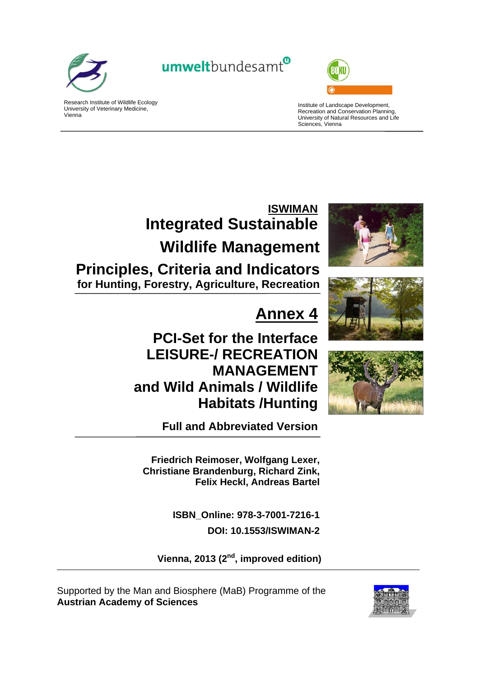

Vienna

Research Institute of Wildlife Ecology University of Veterinary Medicine,

# umweltbundesamt<sup>®</sup>



Institute of Landscape Development, Recreation and Conservation Planning, University of Natural Resources and Life Sciences, Vienna

# **ISWIMAN Integrated Sustainable Wildlife Management Principles, Criteria and Indicators**

**for Hunting, Forestry, Agriculture, Recreation**

# **Annex 4**

**PCI-Set for the Interface LEISURE-/ RECREATION MANAGEMENT and Wild Animals / Wildlife Habitats /Hunting**

**Full and Abbreviated Version** 

**Friedrich Reimoser, Wolfgang Lexer, Christiane Brandenburg, Richard Zink, Felix Heckl, Andreas Bartel** 

> **ISBN\_Online: 978-3-7001-7216-1 DOI: 10.1553/ISWIMAN-2**

Vienna, 2013 (2<sup>nd</sup>, improved edition)

Supported by the Man and Biosphere (MaB) Programme of the **Austrian Academy of Sciences**







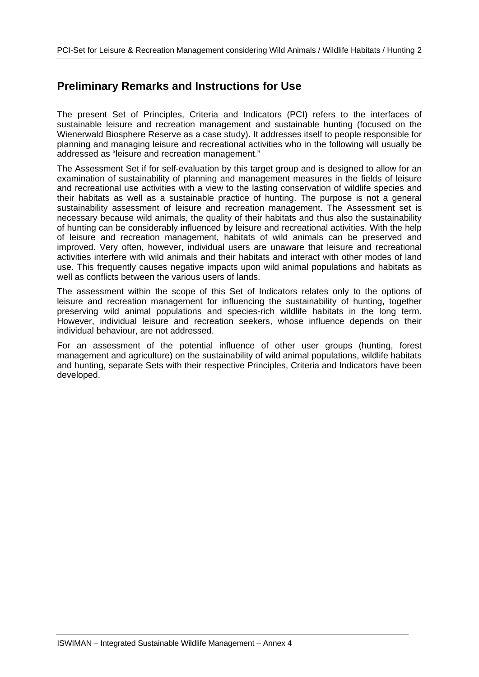### **Preliminary Remarks and Instructions for Use**

The present Set of Principles, Criteria and Indicators (PCI) refers to the interfaces of sustainable leisure and recreation management and sustainable hunting (focused on the Wienerwald Biosphere Reserve as a case study). It addresses itself to people responsible for planning and managing leisure and recreational activities who in the following will usually be addressed as "leisure and recreation management."

The Assessment Set if for self-evaluation by this target group and is designed to allow for an examination of sustainability of planning and management measures in the fields of leisure and recreational use activities with a view to the lasting conservation of wildlife species and their habitats as well as a sustainable practice of hunting. The purpose is not a general sustainability assessment of leisure and recreation management. The Assessment set is necessary because wild animals, the quality of their habitats and thus also the sustainability of hunting can be considerably influenced by leisure and recreational activities. With the help of leisure and recreation management, habitats of wild animals can be preserved and improved. Very often, however, individual users are unaware that leisure and recreational activities interfere with wild animals and their habitats and interact with other modes of land use. This frequently causes negative impacts upon wild animal populations and habitats as well as conflicts between the various users of lands.

The assessment within the scope of this Set of Indicators relates only to the options of leisure and recreation management for influencing the sustainability of hunting, together preserving wild animal populations and species-rich wildlife habitats in the long term. However, individual leisure and recreation seekers, whose influence depends on their individual behaviour, are not addressed.

For an assessment of the potential influence of other user groups (hunting, forest management and agriculture) on the sustainability of wild animal populations, wildlife habitats and hunting, separate Sets with their respective Principles, Criteria and Indicators have been developed.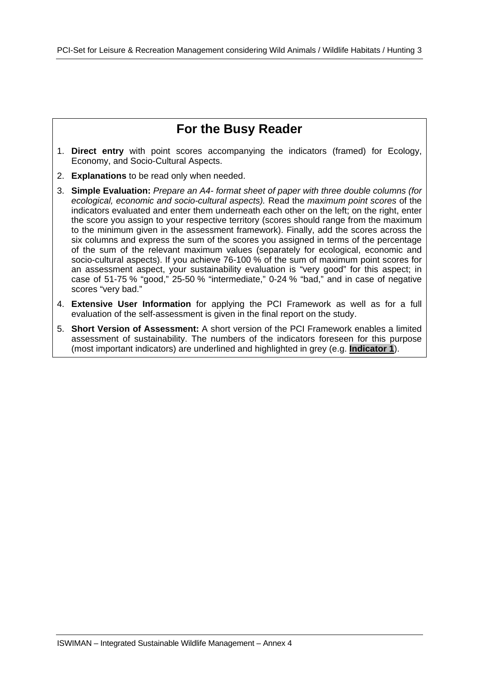## **For the Busy Reader**

- 1. **Direct entry** with point scores accompanying the indicators (framed) for Ecology, Economy, and Socio-Cultural Aspects.
- 2. **Explanations** to be read only when needed.
- 3. **Simple Evaluation:** *Prepare an A4- format sheet of paper with three double columns (for ecological, economic and socio-cultural aspects).* Read the *maximum point scores* of the indicators evaluated and enter them underneath each other on the left; on the right, enter the score you assign to your respective territory (scores should range from the maximum to the minimum given in the assessment framework). Finally, add the scores across the six columns and express the sum of the scores you assigned in terms of the percentage of the sum of the relevant maximum values (separately for ecological, economic and socio-cultural aspects). If you achieve 76-100 % of the sum of maximum point scores for an assessment aspect, your sustainability evaluation is "very good" for this aspect; in case of 51-75 % "good," 25-50 % "intermediate," 0-24 % "bad," and in case of negative scores "very bad."
- 4. **Extensive User Information** for applying the PCI Framework as well as for a full evaluation of the self-assessment is given in the final report on the study.
- 5. **Short Version of Assessment:** A short version of the PCI Framework enables a limited assessment of sustainability. The numbers of the indicators foreseen for this purpose (most important indicators) are underlined and highlighted in grey (e.g. **Indicator 1**).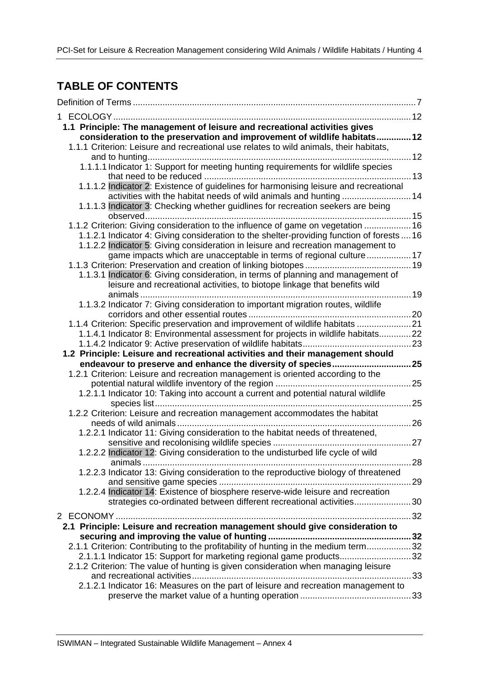## **TABLE OF CONTENTS**

| 1.1 Principle: The management of leisure and recreational activities gives<br>consideration to the preservation and improvement of wildlife habitats 12<br>1.1.1 Criterion: Leisure and recreational use relates to wild animals, their habitats, |  |
|---------------------------------------------------------------------------------------------------------------------------------------------------------------------------------------------------------------------------------------------------|--|
| 1.1.1.1 Indicator 1: Support for meeting hunting requirements for wildlife species                                                                                                                                                                |  |
| 1.1.1.2 Indicator 2: Existence of guidelines for harmonising leisure and recreational                                                                                                                                                             |  |
| activities with the habitat needs of wild animals and hunting  14<br>1.1.1.3 Indicator 3: Checking whether guidlines for recreation seekers are being                                                                                             |  |
| 1.1.2 Criterion: Giving consideration to the influence of game on vegetation  16                                                                                                                                                                  |  |
| 1.1.2.1 Indicator 4: Giving consideration to the shelter-providing function of forests  16<br>1.1.2.2 Indicator 5: Giving consideration in leisure and recreation management to                                                                   |  |
| game impacts which are unacceptable in terms of regional culture17                                                                                                                                                                                |  |
| 1.1.3.1 Indicator 6: Giving consideration, in terms of planning and management of<br>leisure and recreational activities, to biotope linkage that benefits wild<br>. 19<br>animals                                                                |  |
| 1.1.3.2 Indicator 7: Giving consideration to important migration routes, wildlife                                                                                                                                                                 |  |
| 1.1.4 Criterion: Specific preservation and improvement of wildlife habitats  21<br>1.1.4.1 Indicator 8: Environmental assessment for projects in wildlife habitats22                                                                              |  |
| 1.2 Principle: Leisure and recreational activities and their management should                                                                                                                                                                    |  |
|                                                                                                                                                                                                                                                   |  |
| 1.2.1 Criterion: Leisure and recreation management is oriented according to the                                                                                                                                                                   |  |
| 1.2.1.1 Indicator 10: Taking into account a current and potential natural wildlife                                                                                                                                                                |  |
| 1.2.2 Criterion: Leisure and recreation management accommodates the habitat                                                                                                                                                                       |  |
| 1.2.2.1 Indicator 11: Giving consideration to the habitat needs of threatened,                                                                                                                                                                    |  |
| 1.2.2.2 Indicator 12: Giving consideration to the undisturbed life cycle of wild                                                                                                                                                                  |  |
| 1.2.2.3 Indicator 13: Giving consideration to the reproductive biology of threatened                                                                                                                                                              |  |
| 1.2.2.4 Indicator 14: Existence of biosphere reserve-wide leisure and recreation                                                                                                                                                                  |  |
| strategies co-ordinated between different recreational activities30                                                                                                                                                                               |  |
| 2.1 Principle: Leisure and recreation management should give consideration to                                                                                                                                                                     |  |
| 2.1.1 Criterion: Contributing to the profitability of hunting in the medium term32<br>2.1.1.1 Indicator 15: Support for marketing regional game products32                                                                                        |  |
| 2.1.2 Criterion: The value of hunting is given consideration when managing leisure<br>2.1.2.1 Indicator 16: Measures on the part of leisure and recreation management to                                                                          |  |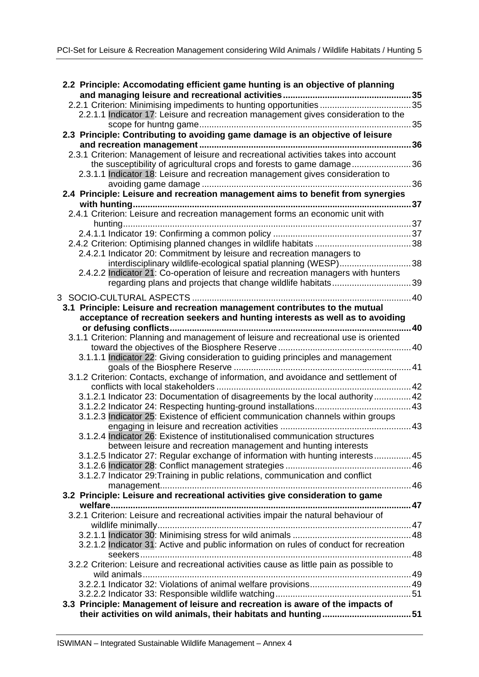| 2.2 Principle: Accomodating efficient game hunting is an objective of planning           | 35 |
|------------------------------------------------------------------------------------------|----|
|                                                                                          |    |
| 2.2.1.1 Indicator 17: Leisure and recreation management gives consideration to the       |    |
|                                                                                          | 35 |
| 2.3 Principle: Contributing to avoiding game damage is an objective of leisure           |    |
|                                                                                          | 36 |
| 2.3.1 Criterion: Management of leisure and recreational activities takes into account    |    |
| the susceptibility of agricultural crops and forests to game damage                      | 36 |
| 2.3.1.1 Indicator 18: Leisure and recreation management gives consideration to           |    |
|                                                                                          | 36 |
| 2.4 Principle: Leisure and recreation management aims to benefit from synergies          |    |
|                                                                                          | 37 |
| 2.4.1 Criterion: Leisure and recreation management forms an economic unit with           |    |
|                                                                                          |    |
|                                                                                          |    |
|                                                                                          |    |
| 2.4.2.1 Indicator 20: Commitment by leisure and recreation managers to                   |    |
| interdisciplinary wildlife-ecological spatial planning (WESP)38                          |    |
| 2.4.2.2 Indicator 21: Co-operation of leisure and recreation managers with hunters       |    |
|                                                                                          | 39 |
|                                                                                          |    |
| 3.1 Principle: Leisure and recreation management contributes to the mutual               |    |
| acceptance of recreation seekers and hunting interests as well as to avoiding            |    |
|                                                                                          | 40 |
| 3.1.1 Criterion: Planning and management of leisure and recreational use is oriented     |    |
|                                                                                          |    |
| 3.1.1.1 Indicator 22: Giving consideration to guiding principles and management          |    |
|                                                                                          |    |
| 3.1.2 Criterion: Contacts, exchange of information, and avoidance and settlement of      |    |
|                                                                                          |    |
| 3.1.2.1 Indicator 23: Documentation of disagreements by the local authority  42          |    |
|                                                                                          |    |
| 3.1.2.3 Indicator 25: Existence of efficient communication channels within groups        |    |
|                                                                                          |    |
| 3.1.2.4 Indicator 26: Existence of institutionalised communication structures            |    |
| between leisure and recreation management and hunting interests                          |    |
| 3.1.2.5 Indicator 27: Regular exchange of information with hunting interests 45          |    |
|                                                                                          |    |
| 3.1.2.7 Indicator 29: Training in public relations, communication and conflict           |    |
|                                                                                          |    |
| 3.2 Principle: Leisure and recreational activities give consideration to game            |    |
|                                                                                          |    |
| 3.2.1 Criterion: Leisure and recreational activities impair the natural behaviour of     |    |
|                                                                                          |    |
|                                                                                          |    |
| 3.2.1.2 Indicator 31: Active and public information on rules of conduct for recreation   |    |
|                                                                                          |    |
| 3.2.2 Criterion: Leisure and recreational activities cause as little pain as possible to |    |
|                                                                                          |    |
|                                                                                          |    |
|                                                                                          |    |
| 3.3 Principle: Management of leisure and recreation is aware of the impacts of           |    |
|                                                                                          |    |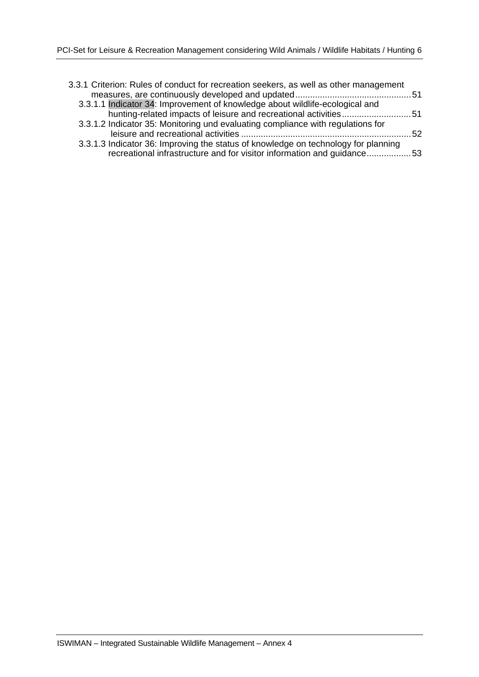| 3.3.1 Criterion: Rules of conduct for recreation seekers, as well as other management |      |
|---------------------------------------------------------------------------------------|------|
|                                                                                       |      |
| 3.3.1.1 Indicator 34: Improvement of knowledge about wildlife-ecological and          |      |
| hunting-related impacts of leisure and recreational activities51                      |      |
| 3.3.1.2 Indicator 35: Monitoring und evaluating compliance with regulations for       |      |
|                                                                                       | - 52 |
| 3.3.1.3 Indicator 36: Improving the status of knowledge on technology for planning    |      |
| recreational infrastructure and for visitor information and guidance53                |      |
|                                                                                       |      |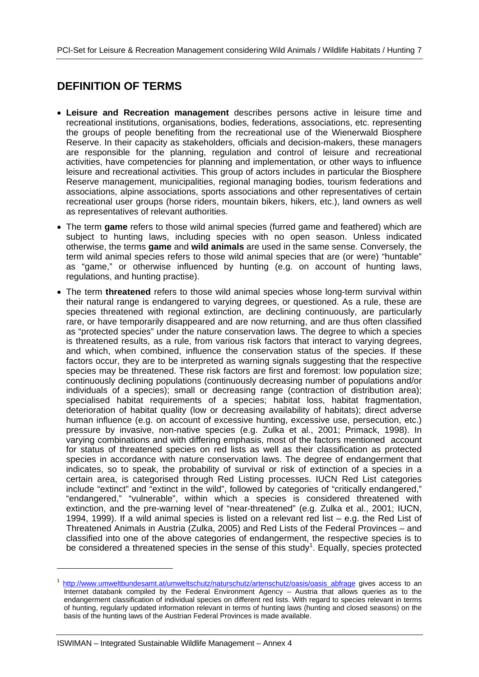### **DEFINITION OF TERMS**

- **Leisure and Recreation management** describes persons active in leisure time and recreational institutions, organisations, bodies, federations, associations, etc. representing the groups of people benefiting from the recreational use of the Wienerwald Biosphere Reserve. In their capacity as stakeholders, officials and decision-makers, these managers are responsible for the planning, regulation and control of leisure and recreational activities, have competencies for planning and implementation, or other ways to influence leisure and recreational activities. This group of actors includes in particular the Biosphere Reserve management, municipalities, regional managing bodies, tourism federations and associations, alpine associations, sports associations and other representatives of certain recreational user groups (horse riders, mountain bikers, hikers, etc.), land owners as well as representatives of relevant authorities.
- The term **game** refers to those wild animal species (furred game and feathered) which are subject to hunting laws, including species with no open season. Unless indicated otherwise, the terms **game** and **wild animals** are used in the same sense. Conversely, the term wild animal species refers to those wild animal species that are (or were) "huntable" as "game," or otherwise influenced by hunting (e.g. on account of hunting laws, regulations, and hunting practise).
- The term **threatened** refers to those wild animal species whose long-term survival within their natural range is endangered to varying degrees, or questioned. As a rule, these are species threatened with regional extinction, are declining continuously, are particularly rare, or have temporarily disappeared and are now returning, and are thus often classified as "protected species" under the nature conservation laws. The degree to which a species is threatened results, as a rule, from various risk factors that interact to varying degrees, and which, when combined, influence the conservation status of the species. If these factors occur, they are to be interpreted as warning signals suggesting that the respective species may be threatened. These risk factors are first and foremost: low population size; continuously declining populations (continuously decreasing number of populations and/or individuals of a species); small or decreasing range (contraction of distribution area); specialised habitat requirements of a species; habitat loss, habitat fragmentation, deterioration of habitat quality (low or decreasing availability of habitats); direct adverse human influence (e.g. on account of excessive hunting, excessive use, persecution, etc.) pressure by invasive, non-native species (e.g. Zulka et al., 2001; Primack, 1998). In varying combinations and with differing emphasis, most of the factors mentioned account for status of threatened species on red lists as well as their classification as protected species in accordance with nature conservation laws. The degree of endangerment that indicates, so to speak, the probability of survival or risk of extinction of a species in a certain area, is categorised through Red Listing processes. IUCN Red List categories include "extinct" and "extinct in the wild", followed by categories of "critically endangered," "endangered," "vulnerable", within which a species is considered threatened with extinction, and the pre-warning level of "near-threatened" (e.g. Zulka et al., 2001; IUCN, 1994, 1999). If a wild animal species is listed on a relevant red list – e.g. the Red List of Threatened Animals in Austria (Zulka, 2005) and Red Lists of the Federal Provinces – and classified into one of the above categories of endangerment, the respective species is to be considered a threatened species in the sense of this study<sup>1</sup>. Equally, species protected

-

<sup>&</sup>lt;sup>1</sup> http://www.umweltbundesamt.at/umweltschutz/naturschutz/artenschutz/oasis/oasis\_abfrage gives access to an Internet databank compiled by the Federal Environment Agency – Austria that allows queries as to the endangerment classification of individual species on different red lists. With regard to species relevant in terms of hunting, regularly updated information relevant in terms of hunting laws (hunting and closed seasons) on the basis of the hunting laws of the Austrian Federal Provinces is made available.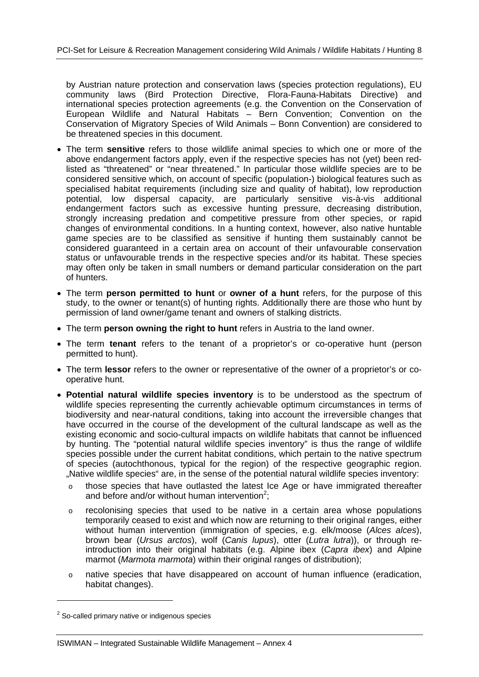by Austrian nature protection and conservation laws (species protection regulations), EU community laws (Bird Protection Directive, Flora-Fauna-Habitats Directive) and international species protection agreements (e.g. the Convention on the Conservation of European Wildlife and Natural Habitats – Bern Convention; Convention on the Conservation of Migratory Species of Wild Animals – Bonn Convention) are considered to be threatened species in this document.

- The term **sensitive** refers to those wildlife animal species to which one or more of the above endangerment factors apply, even if the respective species has not (yet) been redlisted as "threatened" or "near threatened." In particular those wildlife species are to be considered sensitive which, on account of specific (population-) biological features such as specialised habitat requirements (including size and quality of habitat), low reproduction potential, low dispersal capacity, are particularly sensitive vis-à-vis additional endangerment factors such as excessive hunting pressure, decreasing distribution, strongly increasing predation and competitive pressure from other species, or rapid changes of environmental conditions. In a hunting context, however, also native huntable game species are to be classified as sensitive if hunting them sustainably cannot be considered guaranteed in a certain area on account of their unfavourable conservation status or unfavourable trends in the respective species and/or its habitat. These species may often only be taken in small numbers or demand particular consideration on the part of hunters.
- The term **person permitted to hunt** or **owner of a hunt** refers, for the purpose of this study, to the owner or tenant(s) of hunting rights. Additionally there are those who hunt by permission of land owner/game tenant and owners of stalking districts.
- The term **person owning the right to hunt** refers in Austria to the land owner.
- The term **tenant** refers to the tenant of a proprietor's or co-operative hunt (person permitted to hunt).
- The term **lessor** refers to the owner or representative of the owner of a proprietor's or cooperative hunt.
- **Potential natural wildlife species inventory** is to be understood as the spectrum of wildlife species representing the currently achievable optimum circumstances in terms of biodiversity and near-natural conditions, taking into account the irreversible changes that have occurred in the course of the development of the cultural landscape as well as the existing economic and socio-cultural impacts on wildlife habitats that cannot be influenced by hunting. The "potential natural wildlife species inventory" is thus the range of wildlife species possible under the current habitat conditions, which pertain to the native spectrum of species (autochthonous, typical for the region) of the respective geographic region. "Native wildlife species" are, in the sense of the potential natural wildlife species inventory:
	- o those species that have outlasted the latest Ice Age or have immigrated thereafter and before and/or without human intervention<sup>2</sup>;
	- $\circ$  recolonising species that used to be native in a certain area whose populations temporarily ceased to exist and which now are returning to their original ranges, either without human intervention (immigration of species, e.g. elk/moose (*Alces alces*), brown bear (*Ursus arctos*), wolf (*Canis lupus*), otter (*Lutra lutra*)), or through reintroduction into their original habitats (e.g. Alpine ibex (*Capra ibex*) and Alpine marmot (*Marmota marmota*) within their original ranges of distribution);
	- o native species that have disappeared on account of human influence (eradication, habitat changes).

-

 $2$  So-called primary native or indigenous species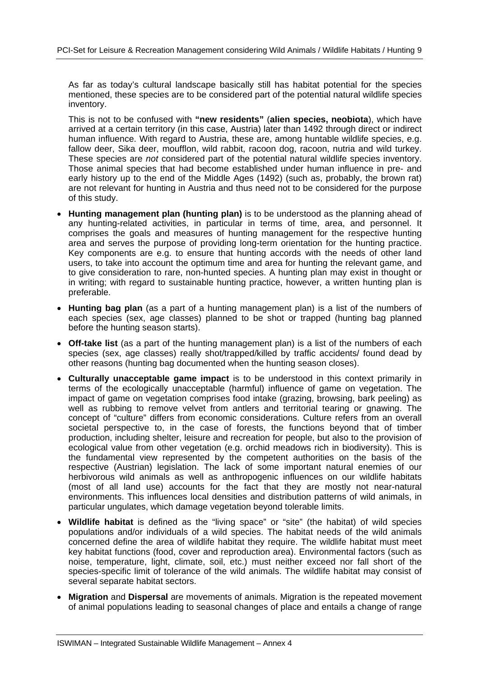As far as today's cultural landscape basically still has habitat potential for the species mentioned, these species are to be considered part of the potential natural wildlife species inventory.

This is not to be confused with **"new residents"** (**alien species, neobiota**), which have arrived at a certain territory (in this case, Austria) later than 1492 through direct or indirect human influence. With regard to Austria, these are, among huntable wildlife species, e.g. fallow deer, Sika deer, moufflon, wild rabbit, racoon dog, racoon, nutria and wild turkey. These species are *not* considered part of the potential natural wildlife species inventory. Those animal species that had become established under human influence in pre- and early history up to the end of the Middle Ages (1492) (such as, probably, the brown rat) are not relevant for hunting in Austria and thus need not to be considered for the purpose of this study.

- **Hunting management plan (hunting plan)** is to be understood as the planning ahead of any hunting-related activities, in particular in terms of time, area, and personnel. It comprises the goals and measures of hunting management for the respective hunting area and serves the purpose of providing long-term orientation for the hunting practice. Key components are e.g. to ensure that hunting accords with the needs of other land users, to take into account the optimum time and area for hunting the relevant game, and to give consideration to rare, non-hunted species. A hunting plan may exist in thought or in writing; with regard to sustainable hunting practice, however, a written hunting plan is preferable.
- **Hunting bag plan** (as a part of a hunting management plan) is a list of the numbers of each species (sex, age classes) planned to be shot or trapped (hunting bag planned before the hunting season starts).
- **Off-take list** (as a part of the hunting management plan) is a list of the numbers of each species (sex, age classes) really shot/trapped/killed by traffic accidents/ found dead by other reasons (hunting bag documented when the hunting season closes).
- **Culturally unacceptable game impact** is to be understood in this context primarily in terms of the ecologically unacceptable (harmful) influence of game on vegetation. The impact of game on vegetation comprises food intake (grazing, browsing, bark peeling) as well as rubbing to remove velvet from antlers and territorial tearing or gnawing. The concept of "culture" differs from economic considerations. Culture refers from an overall societal perspective to, in the case of forests, the functions beyond that of timber production, including shelter, leisure and recreation for people, but also to the provision of ecological value from other vegetation (e.g. orchid meadows rich in biodiversity). This is the fundamental view represented by the competent authorities on the basis of the respective (Austrian) legislation. The lack of some important natural enemies of our herbivorous wild animals as well as anthropogenic influences on our wildlife habitats (most of all land use) accounts for the fact that they are mostly not near-natural environments. This influences local densities and distribution patterns of wild animals, in particular ungulates, which damage vegetation beyond tolerable limits.
- **Wildlife habitat** is defined as the "living space" or "site" (the habitat) of wild species populations and/or individuals of a wild species. The habitat needs of the wild animals concerned define the area of wildlife habitat they require. The wildlife habitat must meet key habitat functions (food, cover and reproduction area). Environmental factors (such as noise, temperature, light, climate, soil, etc.) must neither exceed nor fall short of the species-specific limit of tolerance of the wild animals. The wildlife habitat may consist of several separate habitat sectors.
- **Migration** and **Dispersal** are movements of animals. Migration is the repeated movement of animal populations leading to seasonal changes of place and entails a change of range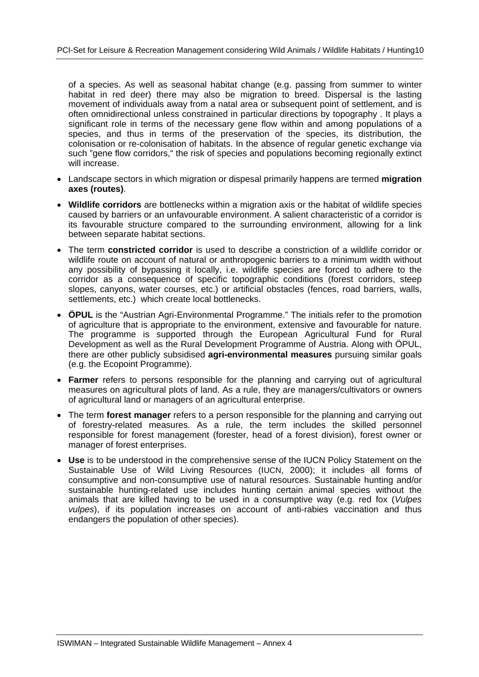of a species. As well as seasonal habitat change (e.g. passing from summer to winter habitat in red deer) there may also be migration to breed. Dispersal is the lasting movement of individuals away from a natal area or subsequent point of settlement, and is often omnidirectional unless constrained in particular directions by topography . It plays a significant role in terms of the necessary gene flow within and among populations of a species, and thus in terms of the preservation of the species, its distribution, the colonisation or re-colonisation of habitats. In the absence of regular genetic exchange via such "gene flow corridors," the risk of species and populations becoming regionally extinct will increase.

- Landscape sectors in which migration or dispesal primarily happens are termed **migration axes (routes)**.
- **Wildlife corridors** are bottlenecks within a migration axis or the habitat of wildlife species caused by barriers or an unfavourable environment. A salient characteristic of a corridor is its favourable structure compared to the surrounding environment, allowing for a link between separate habitat sections.
- The term **constricted corridor** is used to describe a constriction of a wildlife corridor or wildlife route on account of natural or anthropogenic barriers to a minimum width without any possibility of bypassing it locally, i.e. wildlife species are forced to adhere to the corridor as a consequence of specific topographic conditions (forest corridors, steep slopes, canyons, water courses, etc.) or artificial obstacles (fences, road barriers, walls, settlements, etc.) which create local bottlenecks.
- **ÖPUL** is the "Austrian Agri-Environmental Programme." The initials refer to the promotion of agriculture that is appropriate to the environment, extensive and favourable for nature. The programme is supported through the European Agricultural Fund for Rural Development as well as the Rural Development Programme of Austria. Along with ÖPUL, there are other publicly subsidised **agri-environmental measures** pursuing similar goals (e.g. the Ecopoint Programme).
- **Farmer** refers to persons responsible for the planning and carrying out of agricultural measures on agricultural plots of land. As a rule, they are managers/cultivators or owners of agricultural land or managers of an agricultural enterprise.
- The term **forest manager** refers to a person responsible for the planning and carrying out of forestry-related measures. As a rule, the term includes the skilled personnel responsible for forest management (forester, head of a forest division), forest owner or manager of forest enterprises.
- **Use** is to be understood in the comprehensive sense of the IUCN Policy Statement on the Sustainable Use of Wild Living Resources (IUCN, 2000); it includes all forms of consumptive and non-consumptive use of natural resources. Sustainable hunting and/or sustainable hunting-related use includes hunting certain animal species without the animals that are killed having to be used in a consumptive way (e.g. red fox (*Vulpes vulpes*), if its population increases on account of anti-rabies vaccination and thus endangers the population of other species).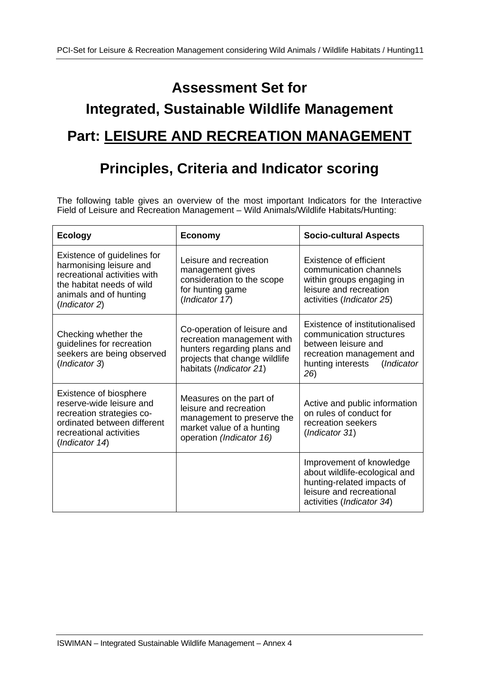# **Assessment Set for Integrated, Sustainable Wildlife Management Part: LEISURE AND RECREATION MANAGEMENT**

# **Principles, Criteria and Indicator scoring**

The following table gives an overview of the most important Indicators for the Interactive Field of Leisure and Recreation Management – Wild Animals/Wildlife Habitats/Hunting:

| <b>Ecology</b>                                                                                                                                                 | <b>Economy</b>                                                                                                                                       | <b>Socio-cultural Aspects</b>                                                                                                                            |
|----------------------------------------------------------------------------------------------------------------------------------------------------------------|------------------------------------------------------------------------------------------------------------------------------------------------------|----------------------------------------------------------------------------------------------------------------------------------------------------------|
| Existence of guidelines for<br>harmonising leisure and<br>recreational activities with<br>the habitat needs of wild<br>animals and of hunting<br>(Indicator 2) | Leisure and recreation<br>management gives<br>consideration to the scope<br>for hunting game<br>(Indicator 17)                                       | Existence of efficient<br>communication channels<br>within groups engaging in<br>leisure and recreation<br>activities (Indicator 25)                     |
| Checking whether the<br>guidelines for recreation<br>seekers are being observed<br>(Indicator 3)                                                               | Co-operation of leisure and<br>recreation management with<br>hunters regarding plans and<br>projects that change wildlife<br>habitats (Indicator 21) | Existence of institutionalised<br>communication structures<br>between leisure and<br>recreation management and<br>hunting interests<br>(Indicator<br>26) |
| Existence of biosphere<br>reserve-wide leisure and<br>recreation strategies co-<br>ordinated between different<br>recreational activities<br>(Indicator 14)    | Measures on the part of<br>leisure and recreation<br>management to preserve the<br>market value of a hunting<br>operation (Indicator 16)             | Active and public information<br>on rules of conduct for<br>recreation seekers<br>(Indicator 31)                                                         |
|                                                                                                                                                                |                                                                                                                                                      | Improvement of knowledge<br>about wildlife-ecological and<br>hunting-related impacts of<br>leisure and recreational<br>activities (Indicator 34)         |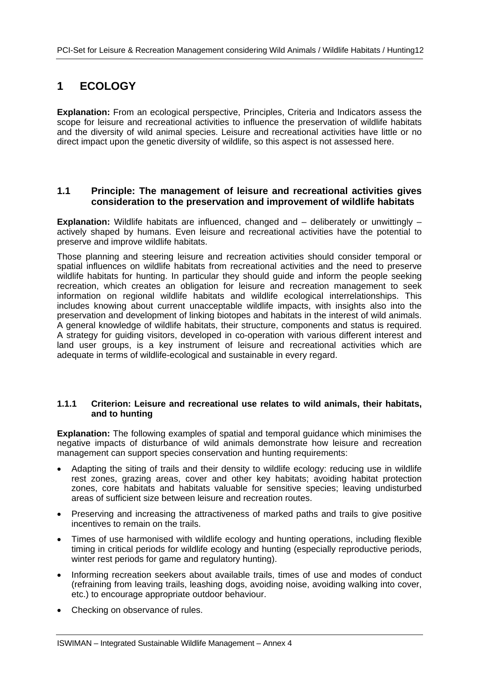## **1 ECOLOGY**

**Explanation:** From an ecological perspective, Principles, Criteria and Indicators assess the scope for leisure and recreational activities to influence the preservation of wildlife habitats and the diversity of wild animal species. Leisure and recreational activities have little or no direct impact upon the genetic diversity of wildlife, so this aspect is not assessed here.

#### **1.1 Principle: The management of leisure and recreational activities gives consideration to the preservation and improvement of wildlife habitats**

**Explanation:** Wildlife habitats are influenced, changed and – deliberately or unwittingly – actively shaped by humans. Even leisure and recreational activities have the potential to preserve and improve wildlife habitats.

Those planning and steering leisure and recreation activities should consider temporal or spatial influences on wildlife habitats from recreational activities and the need to preserve wildlife habitats for hunting. In particular they should guide and inform the people seeking recreation, which creates an obligation for leisure and recreation management to seek information on regional wildlife habitats and wildlife ecological interrelationships. This includes knowing about current unacceptable wildlife impacts, with insights also into the preservation and development of linking biotopes and habitats in the interest of wild animals. A general knowledge of wildlife habitats, their structure, components and status is required. A strategy for guiding visitors, developed in co-operation with various different interest and land user groups, is a key instrument of leisure and recreational activities which are adequate in terms of wildlife-ecological and sustainable in every regard.

#### **1.1.1 Criterion: Leisure and recreational use relates to wild animals, their habitats, and to hunting**

**Explanation:** The following examples of spatial and temporal guidance which minimises the negative impacts of disturbance of wild animals demonstrate how leisure and recreation management can support species conservation and hunting requirements:

- Adapting the siting of trails and their density to wildlife ecology: reducing use in wildlife rest zones, grazing areas, cover and other key habitats; avoiding habitat protection zones, core habitats and habitats valuable for sensitive species; leaving undisturbed areas of sufficient size between leisure and recreation routes.
- Preserving and increasing the attractiveness of marked paths and trails to give positive incentives to remain on the trails.
- Times of use harmonised with wildlife ecology and hunting operations, including flexible timing in critical periods for wildlife ecology and hunting (especially reproductive periods, winter rest periods for game and regulatory hunting).
- Informing recreation seekers about available trails, times of use and modes of conduct (refraining from leaving trails, leashing dogs, avoiding noise, avoiding walking into cover, etc.) to encourage appropriate outdoor behaviour.
- Checking on observance of rules.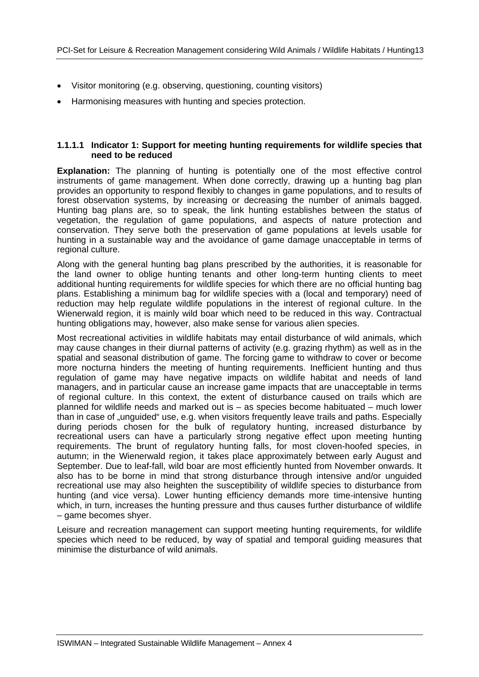- Visitor monitoring (e.g. observing, questioning, counting visitors)
- Harmonising measures with hunting and species protection.

#### **1.1.1.1 Indicator 1: Support for meeting hunting requirements for wildlife species that need to be reduced**

**Explanation:** The planning of hunting is potentially one of the most effective control instruments of game management. When done correctly, drawing up a hunting bag plan provides an opportunity to respond flexibly to changes in game populations, and to results of forest observation systems, by increasing or decreasing the number of animals bagged. Hunting bag plans are, so to speak, the link hunting establishes between the status of vegetation, the regulation of game populations, and aspects of nature protection and conservation. They serve both the preservation of game populations at levels usable for hunting in a sustainable way and the avoidance of game damage unacceptable in terms of regional culture.

Along with the general hunting bag plans prescribed by the authorities, it is reasonable for the land owner to oblige hunting tenants and other long-term hunting clients to meet additional hunting requirements for wildlife species for which there are no official hunting bag plans. Establishing a minimum bag for wildlife species with a (local and temporary) need of reduction may help regulate wildlife populations in the interest of regional culture. In the Wienerwald region, it is mainly wild boar which need to be reduced in this way. Contractual hunting obligations may, however, also make sense for various alien species.

Most recreational activities in wildlife habitats may entail disturbance of wild animals, which may cause changes in their diurnal patterns of activity (e.g. grazing rhythm) as well as in the spatial and seasonal distribution of game. The forcing game to withdraw to cover or become more nocturna hinders the meeting of hunting requirements. Inefficient hunting and thus regulation of game may have negative impacts on wildlife habitat and needs of land managers, and in particular cause an increase game impacts that are unacceptable in terms of regional culture. In this context, the extent of disturbance caused on trails which are planned for wildlife needs and marked out is – as species become habituated – much lower than in case of "unguided" use, e.g. when visitors frequently leave trails and paths. Especially during periods chosen for the bulk of regulatory hunting, increased disturbance by recreational users can have a particularly strong negative effect upon meeting hunting requirements. The brunt of regulatory hunting falls, for most cloven-hoofed species, in autumn; in the Wienerwald region, it takes place approximately between early August and September. Due to leaf-fall, wild boar are most efficiently hunted from November onwards. It also has to be borne in mind that strong disturbance through intensive and/or unguided recreational use may also heighten the susceptibility of wildlife species to disturbance from hunting (and vice versa). Lower hunting efficiency demands more time-intensive hunting which, in turn, increases the hunting pressure and thus causes further disturbance of wildlife – game becomes shyer.

Leisure and recreation management can support meeting hunting requirements, for wildlife species which need to be reduced, by way of spatial and temporal guiding measures that minimise the disturbance of wild animals.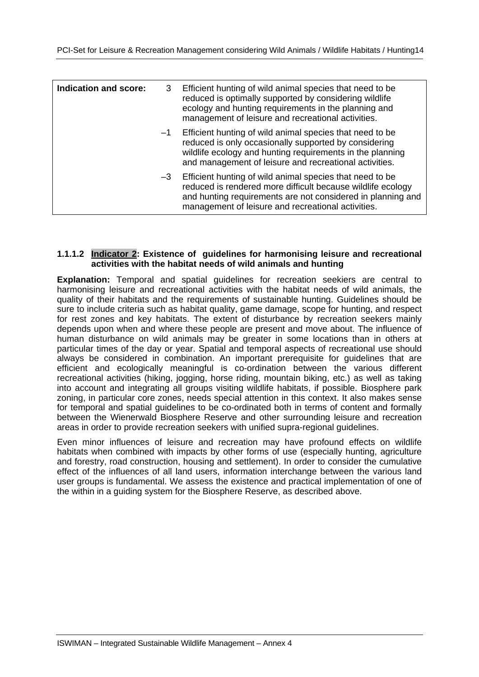| Indication and score: | 3    | Efficient hunting of wild animal species that need to be<br>reduced is optimally supported by considering wildlife<br>ecology and hunting requirements in the planning and<br>management of leisure and recreational activities.             |
|-----------------------|------|----------------------------------------------------------------------------------------------------------------------------------------------------------------------------------------------------------------------------------------------|
|                       | $-1$ | Efficient hunting of wild animal species that need to be<br>reduced is only occasionally supported by considering<br>wildlife ecology and hunting requirements in the planning<br>and management of leisure and recreational activities.     |
|                       | $-3$ | Efficient hunting of wild animal species that need to be<br>reduced is rendered more difficult because wildlife ecology<br>and hunting requirements are not considered in planning and<br>management of leisure and recreational activities. |

#### **1.1.1.2 Indicator 2: Existence of guidelines for harmonising leisure and recreational activities with the habitat needs of wild animals and hunting**

**Explanation:** Temporal and spatial guidelines for recreation seekiers are central to harmonising leisure and recreational activities with the habitat needs of wild animals, the quality of their habitats and the requirements of sustainable hunting. Guidelines should be sure to include criteria such as habitat quality, game damage, scope for hunting, and respect for rest zones and key habitats. The extent of disturbance by recreation seekers mainly depends upon when and where these people are present and move about. The influence of human disturbance on wild animals may be greater in some locations than in others at particular times of the day or year. Spatial and temporal aspects of recreational use should always be considered in combination. An important prerequisite for guidelines that are efficient and ecologically meaningful is co-ordination between the various different recreational activities (hiking, jogging, horse riding, mountain biking, etc.) as well as taking into account and integrating all groups visiting wildlife habitats, if possible. Biosphere park zoning, in particular core zones, needs special attention in this context. It also makes sense for temporal and spatial guidelines to be co-ordinated both in terms of content and formally between the Wienerwald Biosphere Reserve and other surrounding leisure and recreation areas in order to provide recreation seekers with unified supra-regional guidelines.

Even minor influences of leisure and recreation may have profound effects on wildlife habitats when combined with impacts by other forms of use (especially hunting, agriculture and forestry, road construction, housing and settlement). In order to consider the cumulative effect of the influences of all land users, information interchange between the various land user groups is fundamental. We assess the existence and practical implementation of one of the within in a guiding system for the Biosphere Reserve, as described above.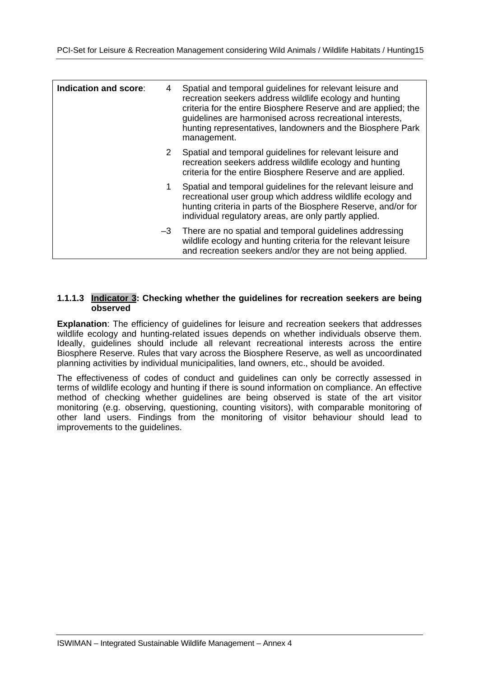| Indication and score:<br>4 | Spatial and temporal guidelines for relevant leisure and<br>recreation seekers address wildlife ecology and hunting<br>criteria for the entire Biosphere Reserve and are applied; the<br>guidelines are harmonised across recreational interests,<br>hunting representatives, landowners and the Biosphere Park<br>management. |
|----------------------------|--------------------------------------------------------------------------------------------------------------------------------------------------------------------------------------------------------------------------------------------------------------------------------------------------------------------------------|
| 2                          | Spatial and temporal guidelines for relevant leisure and<br>recreation seekers address wildlife ecology and hunting<br>criteria for the entire Biosphere Reserve and are applied.                                                                                                                                              |
|                            | Spatial and temporal guidelines for the relevant leisure and<br>recreational user group which address wildlife ecology and<br>hunting criteria in parts of the Biosphere Reserve, and/or for<br>individual regulatory areas, are only partly applied.                                                                          |
| -3                         | There are no spatial and temporal guidelines addressing<br>wildlife ecology and hunting criteria for the relevant leisure<br>and recreation seekers and/or they are not being applied.                                                                                                                                         |

#### **1.1.1.3 Indicator 3: Checking whether the guidelines for recreation seekers are being observed**

**Explanation**: The efficiency of guidelines for leisure and recreation seekers that addresses wildlife ecology and hunting-related issues depends on whether individuals observe them. Ideally, guidelines should include all relevant recreational interests across the entire Biosphere Reserve. Rules that vary across the Biosphere Reserve, as well as uncoordinated planning activities by individual municipalities, land owners, etc., should be avoided.

The effectiveness of codes of conduct and guidelines can only be correctly assessed in terms of wildlife ecology and hunting if there is sound information on compliance. An effective method of checking whether guidelines are being observed is state of the art visitor monitoring (e.g. observing, questioning, counting visitors), with comparable monitoring of other land users. Findings from the monitoring of visitor behaviour should lead to improvements to the guidelines.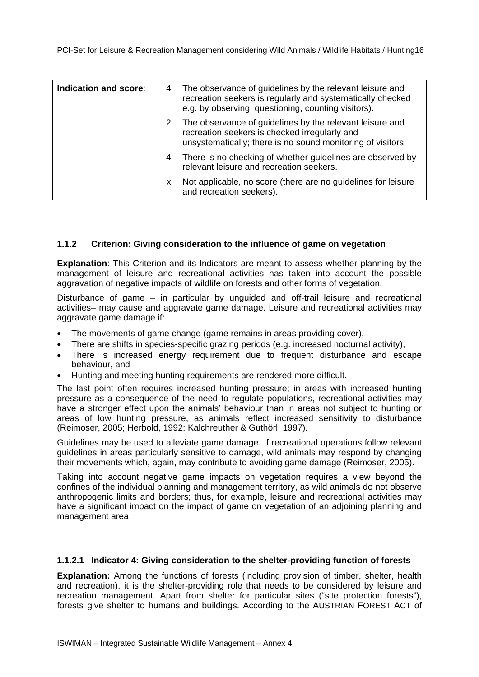| Indication and score: | 4 | The observance of guidelines by the relevant leisure and<br>recreation seekers is regularly and systematically checked<br>e.g. by observing, questioning, counting visitors). |
|-----------------------|---|-------------------------------------------------------------------------------------------------------------------------------------------------------------------------------|
|                       |   | 2 The observance of guidelines by the relevant leisure and<br>recreation seekers is checked irregularly and<br>unsystematically; there is no sound monitoring of visitors.    |
|                       |   | -4 There is no checking of whether guidelines are observed by<br>relevant leisure and recreation seekers.                                                                     |
|                       | x | Not applicable, no score (there are no guidelines for leisure<br>and recreation seekers).                                                                                     |

#### **1.1.2 Criterion: Giving consideration to the influence of game on vegetation**

**Explanation**: This Criterion and its Indicators are meant to assess whether planning by the management of leisure and recreational activities has taken into account the possible aggravation of negative impacts of wildlife on forests and other forms of vegetation.

Disturbance of game – in particular by unguided and off-trail leisure and recreational activities– may cause and aggravate game damage. Leisure and recreational activities may aggravate game damage if:

- The movements of game change (game remains in areas providing cover),
- There are shifts in species-specific grazing periods (e.g. increased nocturnal activity),
- There is increased energy requirement due to frequent disturbance and escape behaviour, and
- Hunting and meeting hunting requirements are rendered more difficult.

The last point often requires increased hunting pressure; in areas with increased hunting pressure as a consequence of the need to regulate populations, recreational activities may have a stronger effect upon the animals' behaviour than in areas not subject to hunting or areas of low hunting pressure, as animals reflect increased sensitivity to disturbance (Reimoser, 2005; Herbold, 1992; Kalchreuther & Guthörl, 1997).

Guidelines may be used to alleviate game damage. If recreational operations follow relevant guidelines in areas particularly sensitive to damage, wild animals may respond by changing their movements which, again, may contribute to avoiding game damage (Reimoser, 2005).

Taking into account negative game impacts on vegetation requires a view beyond the confines of the individual planning and management territory, as wild animals do not observe anthropogenic limits and borders; thus, for example, leisure and recreational activities may have a significant impact on the impact of game on vegetation of an adjoining planning and management area.

#### **1.1.2.1 Indicator 4: Giving consideration to the shelter-providing function of forests**

**Explanation:** Among the functions of forests (including provision of timber, shelter, health and recreation), it is the shelter-providing role that needs to be considered by leisure and recreation management. Apart from shelter for particular sites ("site protection forests"), forests give shelter to humans and buildings. According to the AUSTRIAN FOREST ACT of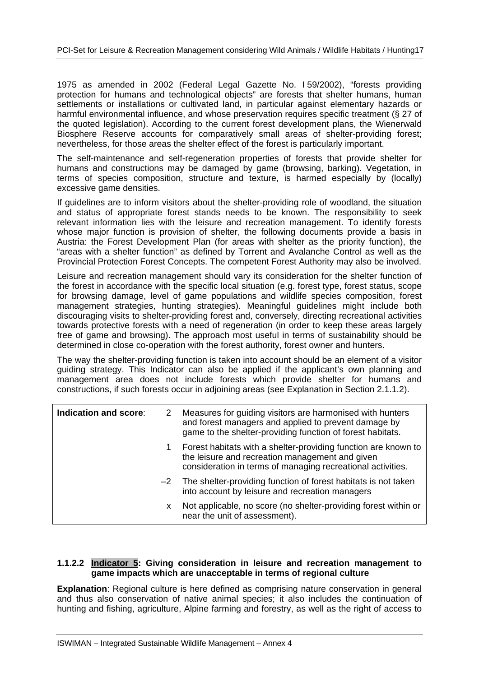1975 as amended in 2002 (Federal Legal Gazette No. I 59/2002), "forests providing protection for humans and technological objects" are forests that shelter humans, human settlements or installations or cultivated land, in particular against elementary hazards or harmful environmental influence, and whose preservation requires specific treatment (§ 27 of the quoted legislation). According to the current forest development plans, the Wienerwald Biosphere Reserve accounts for comparatively small areas of shelter-providing forest; nevertheless, for those areas the shelter effect of the forest is particularly important.

The self-maintenance and self-regeneration properties of forests that provide shelter for humans and constructions may be damaged by game (browsing, barking). Vegetation, in terms of species composition, structure and texture, is harmed especially by (locally) excessive game densities.

If guidelines are to inform visitors about the shelter-providing role of woodland, the situation and status of appropriate forest stands needs to be known. The responsibility to seek relevant information lies with the leisure and recreation management. To identify forests whose major function is provision of shelter, the following documents provide a basis in Austria: the Forest Development Plan (for areas with shelter as the priority function), the "areas with a shelter function" as defined by Torrent and Avalanche Control as well as the Provincial Protection Forest Concepts. The competent Forest Authority may also be involved.

Leisure and recreation management should vary its consideration for the shelter function of the forest in accordance with the specific local situation (e.g. forest type, forest status, scope for browsing damage, level of game populations and wildlife species composition, forest management strategies, hunting strategies). Meaningful guidelines might include both discouraging visits to shelter-providing forest and, conversely, directing recreational activities towards protective forests with a need of regeneration (in order to keep these areas largely free of game and browsing). The approach most useful in terms of sustainability should be determined in close co-operation with the forest authority, forest owner and hunters.

The way the shelter-providing function is taken into account should be an element of a visitor guiding strategy. This Indicator can also be applied if the applicant's own planning and management area does not include forests which provide shelter for humans and constructions, if such forests occur in adjoining areas (see Explanation in Section 2.1.1.2).

| Indication and score: | 2 | Measures for guiding visitors are harmonised with hunters<br>and forest managers and applied to prevent damage by<br>game to the shelter-providing function of forest habitats.  |
|-----------------------|---|----------------------------------------------------------------------------------------------------------------------------------------------------------------------------------|
|                       | 1 | Forest habitats with a shelter-providing function are known to<br>the leisure and recreation management and given<br>consideration in terms of managing recreational activities. |
|                       |   | $-2$ The shelter-providing function of forest habitats is not taken<br>into account by leisure and recreation managers                                                           |
|                       | x | Not applicable, no score (no shelter-providing forest within or<br>near the unit of assessment).                                                                                 |

#### **1.1.2.2 Indicator 5: Giving consideration in leisure and recreation management to game impacts which are unacceptable in terms of regional culture**

**Explanation**: Regional culture is here defined as comprising nature conservation in general and thus also conservation of native animal species; it also includes the continuation of hunting and fishing, agriculture, Alpine farming and forestry, as well as the right of access to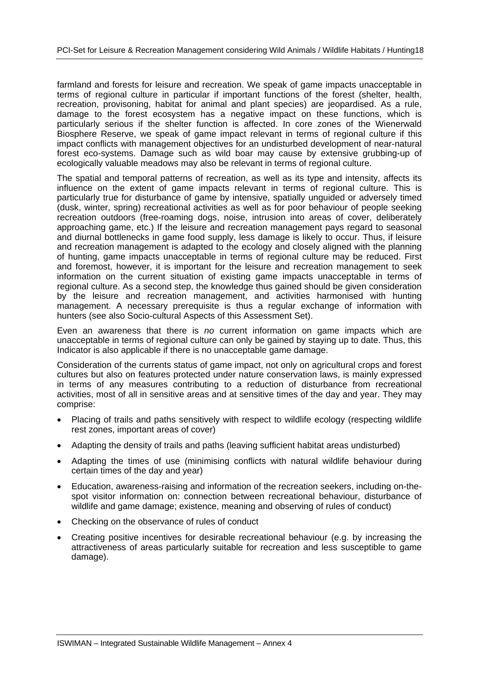farmland and forests for leisure and recreation. We speak of game impacts unacceptable in terms of regional culture in particular if important functions of the forest (shelter, health, recreation, provisoning, habitat for animal and plant species) are jeopardised. As a rule, damage to the forest ecosystem has a negative impact on these functions, which is particularly serious if the shelter function is affected. In core zones of the Wienerwald Biosphere Reserve, we speak of game impact relevant in terms of regional culture if this impact conflicts with management objectives for an undisturbed development of near-natural forest eco-systems. Damage such as wild boar may cause by extensive grubbing-up of ecologically valuable meadows may also be relevant in terms of regional culture.

The spatial and temporal patterns of recreation, as well as its type and intensity, affects its influence on the extent of game impacts relevant in terms of regional culture. This is particularly true for disturbance of game by intensive, spatially unguided or adversely timed (dusk, winter, spring) recreational activities as well as for poor behaviour of people seeking recreation outdoors (free-roaming dogs, noise, intrusion into areas of cover, deliberately approaching game, etc.) If the leisure and recreation management pays regard to seasonal and diurnal bottlenecks in game food supply, less damage is likely to occur. Thus, if leisure and recreation management is adapted to the ecology and closely aligned with the planning of hunting, game impacts unacceptable in terms of regional culture may be reduced. First and foremost, however, it is important for the leisure and recreation management to seek information on the current situation of existing game impacts unacceptable in terms of regional culture. As a second step, the knowledge thus gained should be given consideration by the leisure and recreation management, and activities harmonised with hunting management. A necessary prerequisite is thus a regular exchange of information with hunters (see also Socio-cultural Aspects of this Assessment Set).

Even an awareness that there is *no* current information on game impacts which are unacceptable in terms of regional culture can only be gained by staying up to date. Thus, this Indicator is also applicable if there is no unacceptable game damage.

Consideration of the currents status of game impact, not only on agricultural crops and forest cultures but also on features protected under nature conservation laws, is mainly expressed in terms of any measures contributing to a reduction of disturbance from recreational activities, most of all in sensitive areas and at sensitive times of the day and year. They may comprise:

- Placing of trails and paths sensitively with respect to wildlife ecology (respecting wildlife rest zones, important areas of cover)
- Adapting the density of trails and paths (leaving sufficient habitat areas undisturbed)
- Adapting the times of use (minimising conflicts with natural wildlife behaviour during certain times of the day and year)
- Education, awareness-raising and information of the recreation seekers, including on-thespot visitor information on: connection between recreational behaviour, disturbance of wildlife and game damage; existence, meaning and observing of rules of conduct)
- Checking on the observance of rules of conduct
- Creating positive incentives for desirable recreational behaviour (e.g. by increasing the attractiveness of areas particularly suitable for recreation and less susceptible to game damage).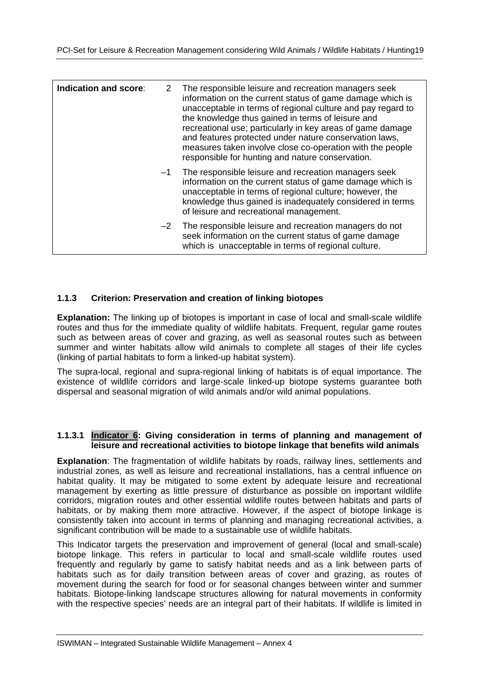| Indication and score: | 2    | The responsible leisure and recreation managers seek<br>information on the current status of game damage which is<br>unacceptable in terms of regional culture and pay regard to<br>the knowledge thus gained in terms of leisure and<br>recreational use; particularly in key areas of game damage<br>and features protected under nature conservation laws,<br>measures taken involve close co-operation with the people<br>responsible for hunting and nature conservation. |
|-----------------------|------|--------------------------------------------------------------------------------------------------------------------------------------------------------------------------------------------------------------------------------------------------------------------------------------------------------------------------------------------------------------------------------------------------------------------------------------------------------------------------------|
|                       | -1   | The responsible leisure and recreation managers seek<br>information on the current status of game damage which is<br>unacceptable in terms of regional culture; however, the<br>knowledge thus gained is inadequately considered in terms<br>of leisure and recreational management.                                                                                                                                                                                           |
|                       | $-2$ | The responsible leisure and recreation managers do not<br>seek information on the current status of game damage<br>which is unacceptable in terms of regional culture.                                                                                                                                                                                                                                                                                                         |

#### **1.1.3 Criterion: Preservation and creation of linking biotopes**

**Explanation:** The linking up of biotopes is important in case of local and small-scale wildlife routes and thus for the immediate quality of wildlife habitats. Frequent, regular game routes such as between areas of cover and grazing, as well as seasonal routes such as between summer and winter habitats allow wild animals to complete all stages of their life cycles (linking of partial habitats to form a linked-up habitat system).

The supra-local, regional and supra-regional linking of habitats is of equal importance. The existence of wildlife corridors and large-scale linked-up biotope systems guarantee both dispersal and seasonal migration of wild animals and/or wild animal populations.

#### **1.1.3.1 Indicator 6: Giving consideration in terms of planning and management of leisure and recreational activities to biotope linkage that benefits wild animals**

**Explanation**: The fragmentation of wildlife habitats by roads, railway lines, settlements and industrial zones, as well as leisure and recreational installations, has a central influence on habitat quality. It may be mitigated to some extent by adequate leisure and recreational management by exerting as little pressure of disturbance as possible on important wildlife corridors, migration routes and other essential wildlife routes between habitats and parts of habitats, or by making them more attractive. However, if the aspect of biotope linkage is consistently taken into account in terms of planning and managing recreational activities, a significant contribution will be made to a sustainable use of wildlife habitats.

This Indicator targets the preservation and improvement of general (local and small-scale) biotope linkage. This refers in particular to local and small-scale wildlife routes used frequently and regularly by game to satisfy habitat needs and as a link between parts of habitats such as for daily transition between areas of cover and grazing, as routes of movement during the search for food or for seasonal changes between winter and summer habitats. Biotope-linking landscape structures allowing for natural movements in conformity with the respective species' needs are an integral part of their habitats. If wildlife is limited in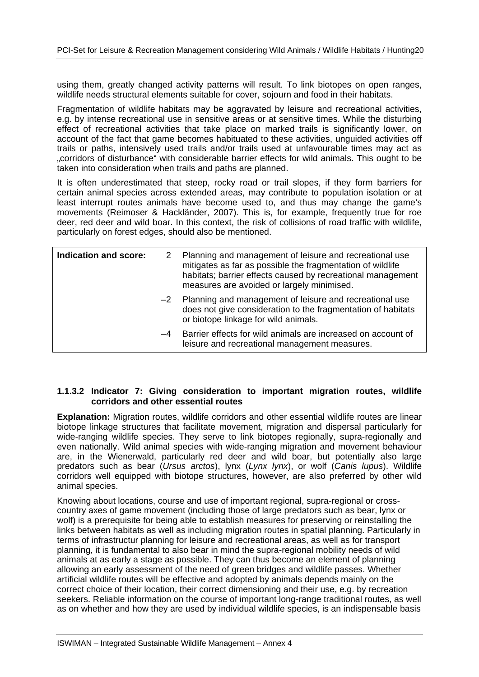using them, greatly changed activity patterns will result. To link biotopes on open ranges, wildlife needs structural elements suitable for cover, sojourn and food in their habitats.

Fragmentation of wildlife habitats may be aggravated by leisure and recreational activities, e.g. by intense recreational use in sensitive areas or at sensitive times. While the disturbing effect of recreational activities that take place on marked trails is significantly lower, on account of the fact that game becomes habituated to these activities, unguided activities off trails or paths, intensively used trails and/or trails used at unfavourable times may act as "corridors of disturbance" with considerable barrier effects for wild animals. This ought to be taken into consideration when trails and paths are planned.

It is often underestimated that steep, rocky road or trail slopes, if they form barriers for certain animal species across extended areas, may contribute to population isolation or at least interrupt routes animals have become used to, and thus may change the game's movements (Reimoser & Hackländer, 2007). This is, for example, frequently true for roe deer, red deer and wild boar. In this context, the risk of collisions of road traffic with wildlife, particularly on forest edges, should also be mentioned.

| Indication and score: |      | 2 Planning and management of leisure and recreational use<br>mitigates as far as possible the fragmentation of wildlife<br>habitats; barrier effects caused by recreational management<br>measures are avoided or largely minimised. |
|-----------------------|------|--------------------------------------------------------------------------------------------------------------------------------------------------------------------------------------------------------------------------------------|
|                       |      | $-2$ Planning and management of leisure and recreational use<br>does not give consideration to the fragmentation of habitats<br>or biotope linkage for wild animals.                                                                 |
|                       | $-4$ | Barrier effects for wild animals are increased on account of<br>leisure and recreational management measures.                                                                                                                        |

#### **1.1.3.2 Indicator 7: Giving consideration to important migration routes, wildlife corridors and other essential routes**

**Explanation:** Migration routes, wildlife corridors and other essential wildlife routes are linear biotope linkage structures that facilitate movement, migration and dispersal particularly for wide-ranging wildlife species. They serve to link biotopes regionally, supra-regionally and even nationally. Wild animal species with wide-ranging migration and movement behaviour are, in the Wienerwald, particularly red deer and wild boar, but potentially also large predators such as bear (*Ursus arctos*), lynx (*Lynx lynx*), or wolf (*Canis lupus*). Wildlife corridors well equipped with biotope structures, however, are also preferred by other wild animal species.

Knowing about locations, course and use of important regional, supra-regional or crosscountry axes of game movement (including those of large predators such as bear, lynx or wolf) is a prerequisite for being able to establish measures for preserving or reinstalling the links between habitats as well as including migration routes in spatial planning. Particularly in terms of infrastructur planning for leisure and recreational areas, as well as for transport planning, it is fundamental to also bear in mind the supra-regional mobility needs of wild animals at as early a stage as possible. They can thus become an element of planning allowing an early assessment of the need of green bridges and wildlife passes. Whether artificial wildlife routes will be effective and adopted by animals depends mainly on the correct choice of their location, their correct dimensioning and their use, e.g. by recreation seekers. Reliable information on the course of important long-range traditional routes, as well as on whether and how they are used by individual wildlife species, is an indispensable basis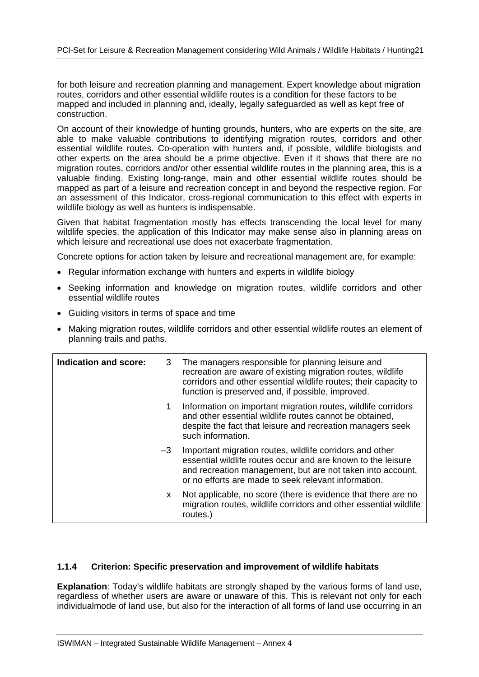for both leisure and recreation planning and management. Expert knowledge about migration routes, corridors and other essential wildlife routes is a condition for these factors to be mapped and included in planning and, ideally, legally safeguarded as well as kept free of construction.

On account of their knowledge of hunting grounds, hunters, who are experts on the site, are able to make valuable contributions to identifying migration routes, corridors and other essential wildlife routes. Co-operation with hunters and, if possible, wildlife biologists and other experts on the area should be a prime objective. Even if it shows that there are no migration routes, corridors and/or other essential wildlife routes in the planning area, this is a valuable finding. Existing long-range, main and other essential wildlife routes should be mapped as part of a leisure and recreation concept in and beyond the respective region. For an assessment of this Indicator, cross-regional communication to this effect with experts in wildlife biology as well as hunters is indispensable.

Given that habitat fragmentation mostly has effects transcending the local level for many wildlife species, the application of this Indicator may make sense also in planning areas on which leisure and recreational use does not exacerbate fragmentation.

Concrete options for action taken by leisure and recreational management are, for example:

- Regular information exchange with hunters and experts in wildlife biology
- Seeking information and knowledge on migration routes, wildlife corridors and other essential wildlife routes
- Guiding visitors in terms of space and time
- Making migration routes, wildlife corridors and other essential wildlife routes an element of planning trails and paths.

| Indication and score: | 3    | The managers responsible for planning leisure and<br>recreation are aware of existing migration routes, wildlife<br>corridors and other essential wildlife routes; their capacity to<br>function is preserved and, if possible, improved.      |
|-----------------------|------|------------------------------------------------------------------------------------------------------------------------------------------------------------------------------------------------------------------------------------------------|
|                       | 1.   | Information on important migration routes, wildlife corridors<br>and other essential wildlife routes cannot be obtained,<br>despite the fact that leisure and recreation managers seek<br>such information.                                    |
|                       | $-3$ | Important migration routes, wildlife corridors and other<br>essential wildlife routes occur and are known to the leisure<br>and recreation management, but are not taken into account,<br>or no efforts are made to seek relevant information. |
|                       | X.   | Not applicable, no score (there is evidence that there are no<br>migration routes, wildlife corridors and other essential wildlife<br>routes.)                                                                                                 |

#### **1.1.4 Criterion: Specific preservation and improvement of wildlife habitats**

**Explanation**: Today's wildlife habitats are strongly shaped by the various forms of land use, regardless of whether users are aware or unaware of this. This is relevant not only for each individualmode of land use, but also for the interaction of all forms of land use occurring in an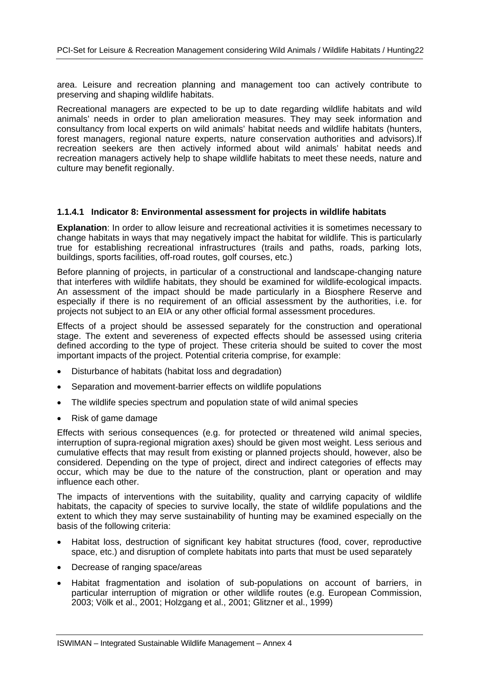area. Leisure and recreation planning and management too can actively contribute to preserving and shaping wildlife habitats.

Recreational managers are expected to be up to date regarding wildlife habitats and wild animals' needs in order to plan amelioration measures. They may seek information and consultancy from local experts on wild animals' habitat needs and wildlife habitats (hunters, forest managers, regional nature experts, nature conservation authorities and advisors).If recreation seekers are then actively informed about wild animals' habitat needs and recreation managers actively help to shape wildlife habitats to meet these needs, nature and culture may benefit regionally.

#### **1.1.4.1 Indicator 8: Environmental assessment for projects in wildlife habitats**

**Explanation**: In order to allow leisure and recreational activities it is sometimes necessary to change habitats in ways that may negatively impact the habitat for wildlife. This is particularly true for establishing recreational infrastructures (trails and paths, roads, parking lots, buildings, sports facilities, off-road routes, golf courses, etc.)

Before planning of projects, in particular of a constructional and landscape-changing nature that interferes with wildlife habitats, they should be examined for wildlife-ecological impacts. An assessment of the impact should be made particularly in a Biosphere Reserve and especially if there is no requirement of an official assessment by the authorities, i.e. for projects not subject to an EIA or any other official formal assessment procedures.

Effects of a project should be assessed separately for the construction and operational stage. The extent and severeness of expected effects should be assessed using criteria defined according to the type of project. These criteria should be suited to cover the most important impacts of the project. Potential criteria comprise, for example:

- Disturbance of habitats (habitat loss and degradation)
- Separation and movement-barrier effects on wildlife populations
- The wildlife species spectrum and population state of wild animal species
- Risk of game damage

Effects with serious consequences (e.g. for protected or threatened wild animal species, interruption of supra-regional migration axes) should be given most weight. Less serious and cumulative effects that may result from existing or planned projects should, however, also be considered. Depending on the type of project, direct and indirect categories of effects may occur, which may be due to the nature of the construction, plant or operation and may influence each other.

The impacts of interventions with the suitability, quality and carrying capacity of wildlife habitats, the capacity of species to survive locally, the state of wildlife populations and the extent to which they may serve sustainability of hunting may be examined especially on the basis of the following criteria:

- Habitat loss, destruction of significant key habitat structures (food, cover, reproductive space, etc.) and disruption of complete habitats into parts that must be used separately
- Decrease of ranging space/areas
- Habitat fragmentation and isolation of sub-populations on account of barriers, in particular interruption of migration or other wildlife routes (e.g. European Commission, 2003; Völk et al., 2001; Holzgang et al., 2001; Glitzner et al., 1999)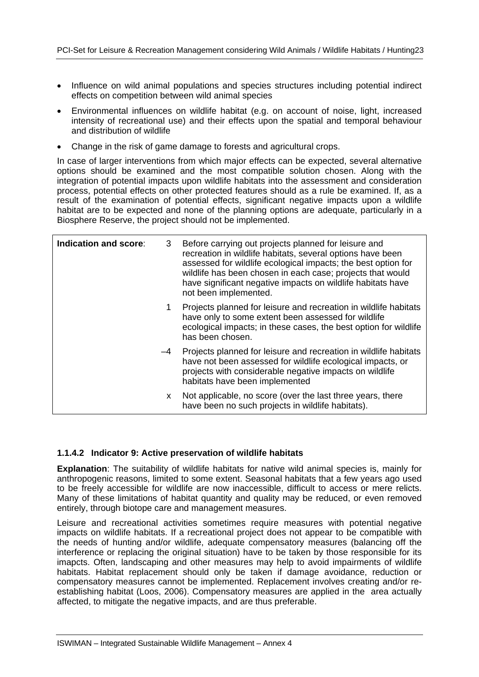- Influence on wild animal populations and species structures including potential indirect effects on competition between wild animal species
- Environmental influences on wildlife habitat (e.g. on account of noise, light, increased intensity of recreational use) and their effects upon the spatial and temporal behaviour and distribution of wildlife
- Change in the risk of game damage to forests and agricultural crops.

In case of larger interventions from which major effects can be expected, several alternative options should be examined and the most compatible solution chosen. Along with the integration of potential impacts upon wildlife habitats into the assessment and consideration process, potential effects on other protected features should as a rule be examined. If, as a result of the examination of potential effects, significant negative impacts upon a wildlife habitat are to be expected and none of the planning options are adequate, particularly in a Biosphere Reserve, the project should not be implemented.

| Indication and score: | 3  | Before carrying out projects planned for leisure and<br>recreation in wildlife habitats, several options have been<br>assessed for wildlife ecological impacts; the best option for<br>wildlife has been chosen in each case; projects that would<br>have significant negative impacts on wildlife habitats have<br>not been implemented. |
|-----------------------|----|-------------------------------------------------------------------------------------------------------------------------------------------------------------------------------------------------------------------------------------------------------------------------------------------------------------------------------------------|
|                       | 1. | Projects planned for leisure and recreation in wildlife habitats<br>have only to some extent been assessed for wildlife<br>ecological impacts; in these cases, the best option for wildlife<br>has been chosen.                                                                                                                           |
|                       | -4 | Projects planned for leisure and recreation in wildlife habitats<br>have not been assessed for wildlife ecological impacts, or<br>projects with considerable negative impacts on wildlife<br>habitats have been implemented                                                                                                               |
|                       | X. | Not applicable, no score (over the last three years, there<br>have been no such projects in wildlife habitats).                                                                                                                                                                                                                           |

#### **1.1.4.2 Indicator 9: Active preservation of wildlife habitats**

**Explanation**: The suitability of wildlife habitats for native wild animal species is, mainly for anthropogenic reasons, limited to some extent. Seasonal habitats that a few years ago used to be freely accessible for wildlife are now inaccessible, difficult to access or mere relicts. Many of these limitations of habitat quantity and quality may be reduced, or even removed entirely, through biotope care and management measures.

Leisure and recreational activities sometimes require measures with potential negative impacts on wildlife habitats. If a recreational project does not appear to be compatible with the needs of hunting and/or wildlife, adequate compensatory measures (balancing off the interference or replacing the original situation) have to be taken by those responsible for its imapcts. Often, landscaping and other measures may help to avoid impairments of wildlife habitats. Habitat replacement should only be taken if damage avoidance, reduction or compensatory measures cannot be implemented. Replacement involves creating and/or reestablishing habitat (Loos, 2006). Compensatory measures are applied in the area actually affected, to mitigate the negative impacts, and are thus preferable.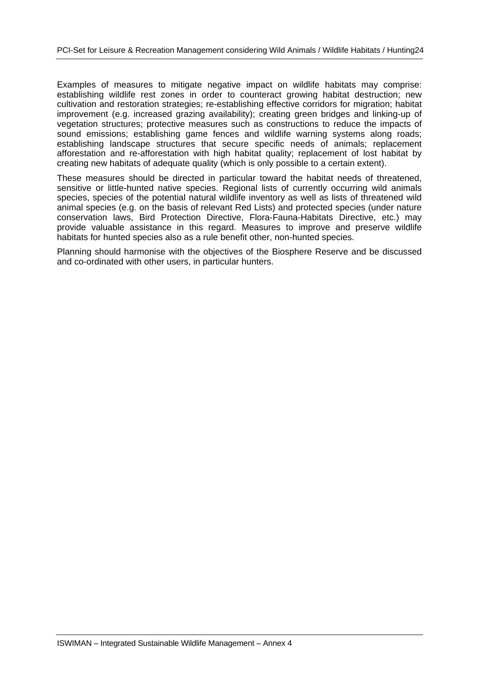Examples of measures to mitigate negative impact on wildlife habitats may comprise: establishing wildlife rest zones in order to counteract growing habitat destruction; new cultivation and restoration strategies; re-establishing effective corridors for migration; habitat improvement (e.g. increased grazing availability); creating green bridges and linking-up of vegetation structures; protective measures such as constructions to reduce the impacts of sound emissions; establishing game fences and wildlife warning systems along roads; establishing landscape structures that secure specific needs of animals; replacement afforestation and re-afforestation with high habitat quality; replacement of lost habitat by creating new habitats of adequate quality (which is only possible to a certain extent).

These measures should be directed in particular toward the habitat needs of threatened, sensitive or little-hunted native species. Regional lists of currently occurring wild animals species, species of the potential natural wildlife inventory as well as lists of threatened wild animal species (e.g. on the basis of relevant Red Lists) and protected species (under nature conservation laws, Bird Protection Directive, Flora-Fauna-Habitats Directive, etc.) may provide valuable assistance in this regard. Measures to improve and preserve wildlife habitats for hunted species also as a rule benefit other, non-hunted species.

Planning should harmonise with the objectives of the Biosphere Reserve and be discussed and co-ordinated with other users, in particular hunters.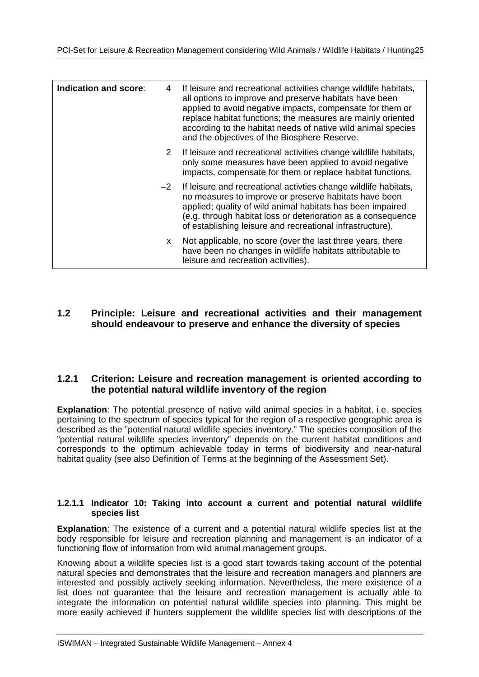| Indication and score: | 4    | If leisure and recreational activities change wildlife habitats,<br>all options to improve and preserve habitats have been<br>applied to avoid negative impacts, compensate for them or<br>replace habitat functions; the measures are mainly oriented<br>according to the habitat needs of native wild animal species<br>and the objectives of the Biosphere Reserve. |
|-----------------------|------|------------------------------------------------------------------------------------------------------------------------------------------------------------------------------------------------------------------------------------------------------------------------------------------------------------------------------------------------------------------------|
|                       | 2    | If leisure and recreational activities change wildlife habitats,<br>only some measures have been applied to avoid negative<br>impacts, compensate for them or replace habitat functions.                                                                                                                                                                               |
|                       | $-2$ | If leisure and recreational activities change wildlife habitats,<br>no measures to improve or preserve habitats have been<br>applied; quality of wild animal habitats has been impaired<br>(e.g. through habitat loss or deterioration as a consequence<br>of establishing leisure and recreational infrastructure).                                                   |
|                       | X.   | Not applicable, no score (over the last three years, there<br>have been no changes in wildlife habitats attributable to<br>leisure and recreation activities).                                                                                                                                                                                                         |

#### **1.2 Principle: Leisure and recreational activities and their management should endeavour to preserve and enhance the diversity of species**

#### **1.2.1 Criterion: Leisure and recreation management is oriented according to the potential natural wildlife inventory of the region**

**Explanation**: The potential presence of native wild animal species in a habitat, i.e. species pertaining to the spectrum of species typical for the region of a respective geographic area is described as the "potential natural wildlife species inventory." The species composition of the "potential natural wildlife species inventory" depends on the current habitat conditions and corresponds to the optimum achievable today in terms of biodiversity and near-natural habitat quality (see also Definition of Terms at the beginning of the Assessment Set).

#### **1.2.1.1 Indicator 10: Taking into account a current and potential natural wildlife species list**

**Explanation**: The existence of a current and a potential natural wildlife species list at the body responsible for leisure and recreation planning and management is an indicator of a functioning flow of information from wild animal management groups.

Knowing about a wildlife species list is a good start towards taking account of the potential natural species and demonstrates that the leisure and recreation managers and planners are interested and possibly actively seeking information. Nevertheless, the mere existence of a list does not guarantee that the leisure and recreation management is actually able to integrate the information on potential natural wildlife species into planning. This might be more easily achieved if hunters supplement the wildlife species list with descriptions of the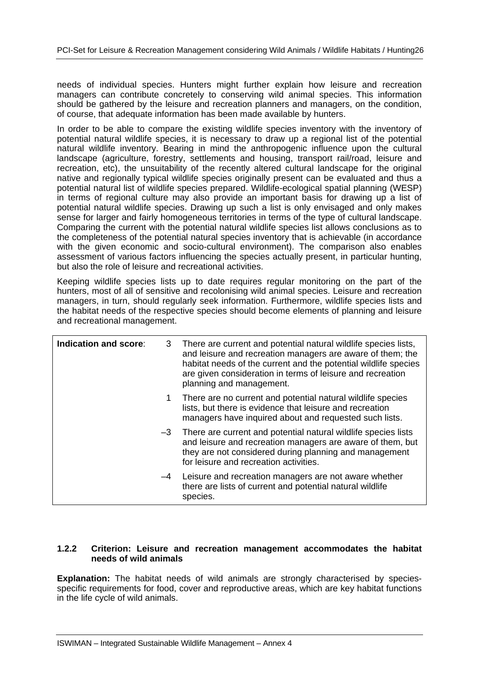needs of individual species. Hunters might further explain how leisure and recreation managers can contribute concretely to conserving wild animal species. This information should be gathered by the leisure and recreation planners and managers, on the condition, of course, that adequate information has been made available by hunters.

In order to be able to compare the existing wildlife species inventory with the inventory of potential natural wildlife species, it is necessary to draw up a regional list of the potential natural wildlife inventory. Bearing in mind the anthropogenic influence upon the cultural landscape (agriculture, forestry, settlements and housing, transport rail/road, leisure and recreation, etc), the unsuitability of the recently altered cultural landscape for the original native and regionally typical wildlife species originally present can be evaluated and thus a potential natural list of wildlife species prepared. Wildlife-ecological spatial planning (WESP) in terms of regional culture may also provide an important basis for drawing up a list of potential natural wildlife species. Drawing up such a list is only envisaged and only makes sense for larger and fairly homogeneous territories in terms of the type of cultural landscape. Comparing the current with the potential natural wildlife species list allows conclusions as to the completeness of the potential natural species inventory that is achievable (in accordance with the given economic and socio-cultural environment). The comparison also enables assessment of various factors influencing the species actually present, in particular hunting, but also the role of leisure and recreational activities.

Keeping wildlife species lists up to date requires regular monitoring on the part of the hunters, most of all of sensitive and recolonising wild animal species. Leisure and recreation managers, in turn, should regularly seek information. Furthermore, wildlife species lists and the habitat needs of the respective species should become elements of planning and leisure and recreational management.

| Indication and score: |   | 3 There are current and potential natural wildlife species lists,<br>and leisure and recreation managers are aware of them; the<br>habitat needs of the current and the potential wildlife species<br>are given consideration in terms of leisure and recreation<br>planning and management. |
|-----------------------|---|----------------------------------------------------------------------------------------------------------------------------------------------------------------------------------------------------------------------------------------------------------------------------------------------|
|                       | 1 | There are no current and potential natural wildlife species<br>lists, but there is evidence that leisure and recreation<br>managers have inquired about and requested such lists.                                                                                                            |
|                       |   | $-3$ There are current and potential natural wildlife species lists<br>and leisure and recreation managers are aware of them, but<br>they are not considered during planning and management<br>for leisure and recreation activities.                                                        |
|                       |   | -4 Leisure and recreation managers are not aware whether<br>there are lists of current and potential natural wildlife<br>species.                                                                                                                                                            |

#### **1.2.2 Criterion: Leisure and recreation management accommodates the habitat needs of wild animals**

**Explanation:** The habitat needs of wild animals are strongly characterised by speciesspecific requirements for food, cover and reproductive areas, which are key habitat functions in the life cycle of wild animals.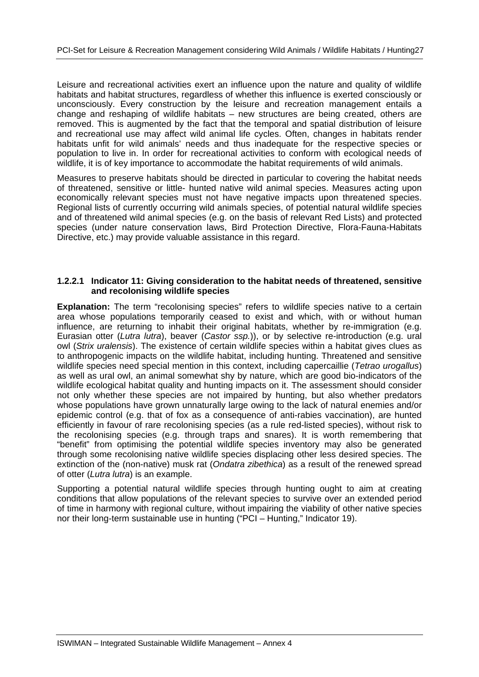Leisure and recreational activities exert an influence upon the nature and quality of wildlife habitats and habitat structures, regardless of whether this influence is exerted consciously or unconsciously. Every construction by the leisure and recreation management entails a change and reshaping of wildlife habitats – new structures are being created, others are removed. This is augmented by the fact that the temporal and spatial distribution of leisure and recreational use may affect wild animal life cycles. Often, changes in habitats render habitats unfit for wild animals' needs and thus inadequate for the respective species or population to live in. In order for recreational activities to conform with ecological needs of wildlife, it is of key importance to accommodate the habitat requirements of wild animals.

Measures to preserve habitats should be directed in particular to covering the habitat needs of threatened, sensitive or little- hunted native wild animal species. Measures acting upon economically relevant species must not have negative impacts upon threatened species. Regional lists of currently occurring wild animals species, of potential natural wildlife species and of threatened wild animal species (e.g. on the basis of relevant Red Lists) and protected species (under nature conservation laws, Bird Protection Directive, Flora-Fauna-Habitats Directive, etc.) may provide valuable assistance in this regard.

#### **1.2.2.1 Indicator 11: Giving consideration to the habitat needs of threatened, sensitive and recolonising wildlife species**

**Explanation:** The term "recolonising species" refers to wildlife species native to a certain area whose populations temporarily ceased to exist and which, with or without human influence, are returning to inhabit their original habitats, whether by re-immigration (e.g. Eurasian otter (*Lutra lutra*), beaver (*Castor ssp.*)), or by selective re-introduction (e.g. ural owl (*Strix uralensis*). The existence of certain wildlife species within a habitat gives clues as to anthropogenic impacts on the wildlife habitat, including hunting. Threatened and sensitive wildlife species need special mention in this context, including capercaillie (*Tetrao urogallus*) as well as ural owl, an animal somewhat shy by nature, which are good bio-indicators of the wildlife ecological habitat quality and hunting impacts on it. The assessment should consider not only whether these species are not impaired by hunting, but also whether predators whose populations have grown unnaturally large owing to the lack of natural enemies and/or epidemic control (e.g. that of fox as a consequence of anti-rabies vaccination), are hunted efficiently in favour of rare recolonising species (as a rule red-listed species), without risk to the recolonising species (e.g. through traps and snares). It is worth remembering that "benefit" from optimising the potential wildlife species inventory may also be generated through some recolonising native wildlife species displacing other less desired species. The extinction of the (non-native) musk rat (*Ondatra zibethica*) as a result of the renewed spread of otter (*Lutra lutra*) is an example.

Supporting a potential natural wildlife species through hunting ought to aim at creating conditions that allow populations of the relevant species to survive over an extended period of time in harmony with regional culture, without impairing the viability of other native species nor their long-term sustainable use in hunting ("PCI – Hunting," Indicator 19).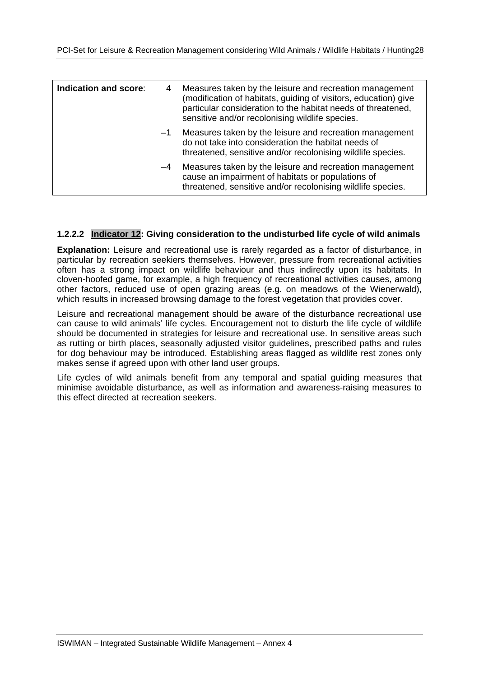| Indication and score: | 4    | Measures taken by the leisure and recreation management<br>(modification of habitats, guiding of visitors, education) give<br>particular consideration to the habitat needs of threatened,<br>sensitive and/or recolonising wildlife species. |
|-----------------------|------|-----------------------------------------------------------------------------------------------------------------------------------------------------------------------------------------------------------------------------------------------|
|                       | $-1$ | Measures taken by the leisure and recreation management<br>do not take into consideration the habitat needs of<br>threatened, sensitive and/or recolonising wildlife species.                                                                 |
|                       | $-4$ | Measures taken by the leisure and recreation management<br>cause an impairment of habitats or populations of<br>threatened, sensitive and/or recolonising wildlife species.                                                                   |

#### **1.2.2.2 Indicator 12: Giving consideration to the undisturbed life cycle of wild animals**

**Explanation:** Leisure and recreational use is rarely regarded as a factor of disturbance, in particular by recreation seekiers themselves. However, pressure from recreational activities often has a strong impact on wildlife behaviour and thus indirectly upon its habitats. In cloven-hoofed game, for example, a high frequency of recreational activities causes, among other factors, reduced use of open grazing areas (e.g. on meadows of the Wienerwald), which results in increased browsing damage to the forest vegetation that provides cover.

Leisure and recreational management should be aware of the disturbance recreational use can cause to wild animals' life cycles. Encouragement not to disturb the life cycle of wildlife should be documented in strategies for leisure and recreational use. In sensitive areas such as rutting or birth places, seasonally adjusted visitor guidelines, prescribed paths and rules for dog behaviour may be introduced. Establishing areas flagged as wildlife rest zones only makes sense if agreed upon with other land user groups.

Life cycles of wild animals benefit from any temporal and spatial guiding measures that minimise avoidable disturbance, as well as information and awareness-raising measures to this effect directed at recreation seekers.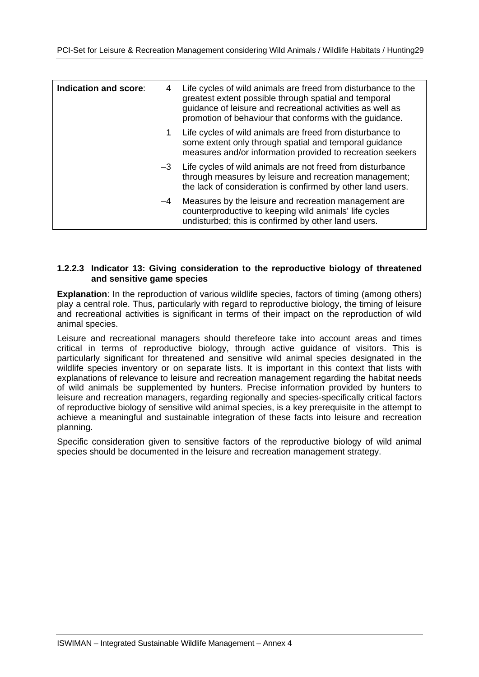| Indication and score: | 4    | Life cycles of wild animals are freed from disturbance to the<br>greatest extent possible through spatial and temporal<br>guidance of leisure and recreational activities as well as<br>promotion of behaviour that conforms with the guidance. |
|-----------------------|------|-------------------------------------------------------------------------------------------------------------------------------------------------------------------------------------------------------------------------------------------------|
|                       | 1.   | Life cycles of wild animals are freed from disturbance to<br>some extent only through spatial and temporal guidance<br>measures and/or information provided to recreation seekers                                                               |
|                       | $-3$ | Life cycles of wild animals are not freed from disturbance<br>through measures by leisure and recreation management;<br>the lack of consideration is confirmed by other land users.                                                             |
|                       | -4   | Measures by the leisure and recreation management are.<br>counterproductive to keeping wild animals' life cycles<br>undisturbed; this is confirmed by other land users.                                                                         |

#### **1.2.2.3 Indicator 13: Giving consideration to the reproductive biology of threatened and sensitive game species**

**Explanation**: In the reproduction of various wildlife species, factors of timing (among others) play a central role. Thus, particularly with regard to reproductive biology, the timing of leisure and recreational activities is significant in terms of their impact on the reproduction of wild animal species.

Leisure and recreational managers should therefeore take into account areas and times critical in terms of reproductive biology, through active guidance of visitors. This is particularly significant for threatened and sensitive wild animal species designated in the wildlife species inventory or on separate lists. It is important in this context that lists with explanations of relevance to leisure and recreation management regarding the habitat needs of wild animals be supplemented by hunters. Precise information provided by hunters to leisure and recreation managers, regarding regionally and species-specifically critical factors of reproductive biology of sensitive wild animal species, is a key prerequisite in the attempt to achieve a meaningful and sustainable integration of these facts into leisure and recreation planning.

Specific consideration given to sensitive factors of the reproductive biology of wild animal species should be documented in the leisure and recreation management strategy.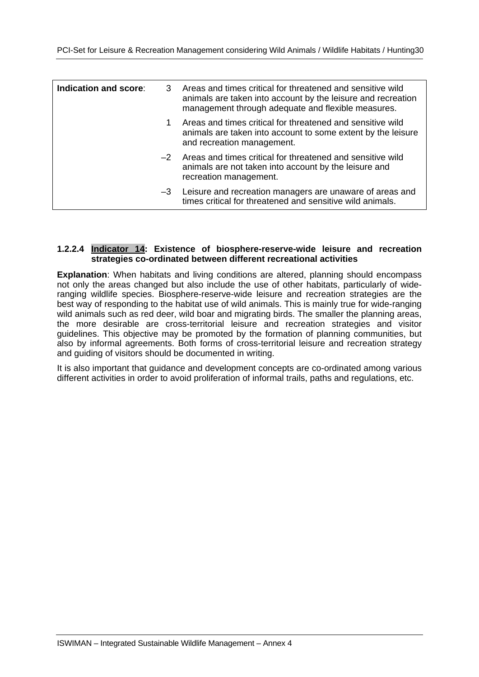| Indication and score: | 3 Areas and times critical for threatened and sensitive wild<br>animals are taken into account by the leisure and recreation<br>management through adequate and flexible measures. |
|-----------------------|------------------------------------------------------------------------------------------------------------------------------------------------------------------------------------|
|                       | Areas and times critical for threatened and sensitive wild<br>animals are taken into account to some extent by the leisure<br>and recreation management.                           |
|                       | -2 Areas and times critical for threatened and sensitive wild<br>animals are not taken into account by the leisure and<br>recreation management.                                   |
|                       | -3 Leisure and recreation managers are unaware of areas and<br>times critical for threatened and sensitive wild animals.                                                           |

#### **1.2.2.4 Indicator 14: Existence of biosphere-reserve-wide leisure and recreation strategies co-ordinated between different recreational activities**

**Explanation**: When habitats and living conditions are altered, planning should encompass not only the areas changed but also include the use of other habitats, particularly of wideranging wildlife species. Biosphere-reserve-wide leisure and recreation strategies are the best way of responding to the habitat use of wild animals. This is mainly true for wide-ranging wild animals such as red deer, wild boar and migrating birds. The smaller the planning areas, the more desirable are cross-territorial leisure and recreation strategies and visitor guidelines. This objective may be promoted by the formation of planning communities, but also by informal agreements. Both forms of cross-territorial leisure and recreation strategy and guiding of visitors should be documented in writing.

It is also important that guidance and development concepts are co-ordinated among various different activities in order to avoid proliferation of informal trails, paths and regulations, etc.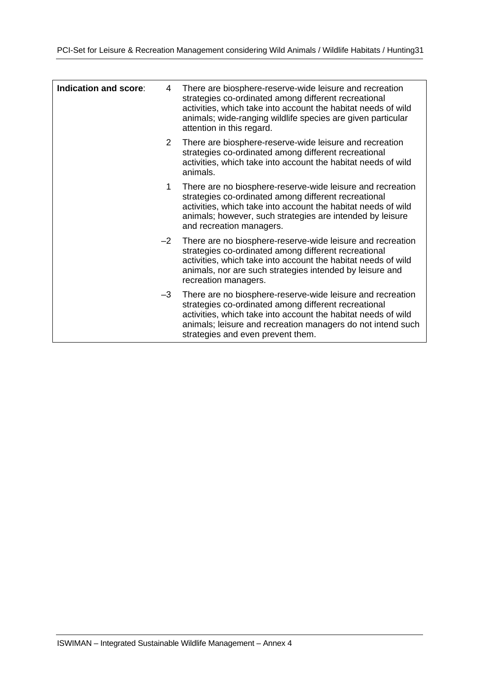| Indication and score: | 4              | There are biosphere-reserve-wide leisure and recreation<br>strategies co-ordinated among different recreational<br>activities, which take into account the habitat needs of wild<br>animals; wide-ranging wildlife species are given particular<br>attention in this regard.            |
|-----------------------|----------------|-----------------------------------------------------------------------------------------------------------------------------------------------------------------------------------------------------------------------------------------------------------------------------------------|
|                       | $\overline{2}$ | There are biosphere-reserve-wide leisure and recreation<br>strategies co-ordinated among different recreational<br>activities, which take into account the habitat needs of wild<br>animals.                                                                                            |
|                       | 1              | There are no biosphere-reserve-wide leisure and recreation<br>strategies co-ordinated among different recreational<br>activities, which take into account the habitat needs of wild<br>animals; however, such strategies are intended by leisure<br>and recreation managers.            |
|                       | $-2$           | There are no biosphere-reserve-wide leisure and recreation<br>strategies co-ordinated among different recreational<br>activities, which take into account the habitat needs of wild<br>animals, nor are such strategies intended by leisure and<br>recreation managers.                 |
|                       | $-3$           | There are no biosphere-reserve-wide leisure and recreation<br>strategies co-ordinated among different recreational<br>activities, which take into account the habitat needs of wild<br>animals; leisure and recreation managers do not intend such<br>strategies and even prevent them. |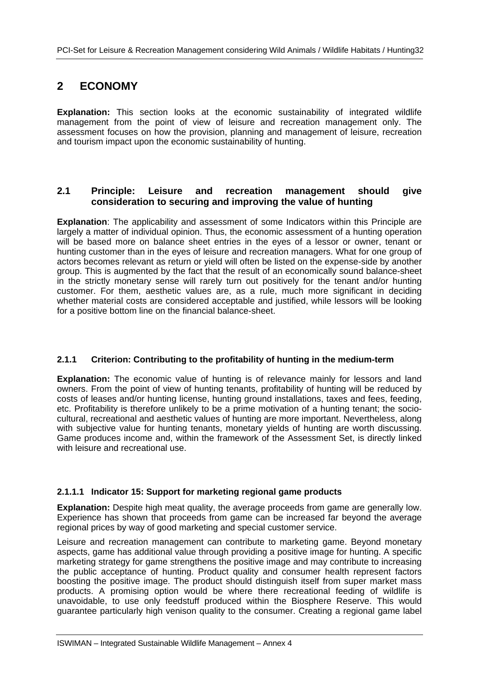### **2 ECONOMY**

**Explanation:** This section looks at the economic sustainability of integrated wildlife management from the point of view of leisure and recreation management only. The assessment focuses on how the provision, planning and management of leisure, recreation and tourism impact upon the economic sustainability of hunting.

#### **2.1 Principle: Leisure and recreation management should give consideration to securing and improving the value of hunting**

**Explanation**: The applicability and assessment of some Indicators within this Principle are largely a matter of individual opinion. Thus, the economic assessment of a hunting operation will be based more on balance sheet entries in the eyes of a lessor or owner, tenant or hunting customer than in the eyes of leisure and recreation managers. What for one group of actors becomes relevant as return or yield will often be listed on the expense-side by another group. This is augmented by the fact that the result of an economically sound balance-sheet in the strictly monetary sense will rarely turn out positively for the tenant and/or hunting customer. For them, aesthetic values are, as a rule, much more significant in deciding whether material costs are considered acceptable and justified, while lessors will be looking for a positive bottom line on the financial balance-sheet.

#### **2.1.1 Criterion: Contributing to the profitability of hunting in the medium-term**

**Explanation:** The economic value of hunting is of relevance mainly for lessors and land owners. From the point of view of hunting tenants, profitability of hunting will be reduced by costs of leases and/or hunting license, hunting ground installations, taxes and fees, feeding, etc. Profitability is therefore unlikely to be a prime motivation of a hunting tenant; the sociocultural, recreational and aesthetic values of hunting are more important. Nevertheless, along with subjective value for hunting tenants, monetary yields of hunting are worth discussing. Game produces income and, within the framework of the Assessment Set, is directly linked with leisure and recreational use.

#### **2.1.1.1 Indicator 15: Support for marketing regional game products**

**Explanation:** Despite high meat quality, the average proceeds from game are generally low. Experience has shown that proceeds from game can be increased far beyond the average regional prices by way of good marketing and special customer service.

Leisure and recreation management can contribute to marketing game. Beyond monetary aspects, game has additional value through providing a positive image for hunting. A specific marketing strategy for game strengthens the positive image and may contribute to increasing the public acceptance of hunting. Product quality and consumer health represent factors boosting the positive image. The product should distinguish itself from super market mass products. A promising option would be where there recreational feeding of wildlife is unavoidable, to use only feedstuff produced within the Biosphere Reserve. This would guarantee particularly high venison quality to the consumer. Creating a regional game label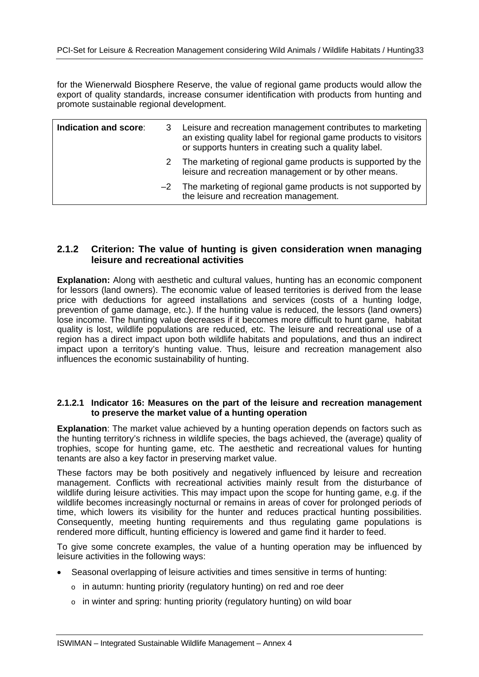for the Wienerwald Biosphere Reserve, the value of regional game products would allow the export of quality standards, increase consumer identification with products from hunting and promote sustainable regional development.

| Indication and score: | Leisure and recreation management contributes to marketing<br>an existing quality label for regional game products to visitors<br>or supports hunters in creating such a quality label. |
|-----------------------|-----------------------------------------------------------------------------------------------------------------------------------------------------------------------------------------|
|                       | 2 The marketing of regional game products is supported by the<br>leisure and recreation management or by other means.                                                                   |
|                       | $-2$ The marketing of regional game products is not supported by<br>the leisure and recreation management.                                                                              |

#### **2.1.2 Criterion: The value of hunting is given consideration wnen managing leisure and recreational activities**

**Explanation:** Along with aesthetic and cultural values, hunting has an economic component for lessors (land owners). The economic value of leased territories is derived from the lease price with deductions for agreed installations and services (costs of a hunting lodge, prevention of game damage, etc.). If the hunting value is reduced, the lessors (land owners) lose income. The hunting value decreases if it becomes more difficult to hunt game, habitat quality is lost, wildlife populations are reduced, etc. The leisure and recreational use of a region has a direct impact upon both wildlife habitats and populations, and thus an indirect impact upon a territory's hunting value. Thus, leisure and recreation management also influences the economic sustainability of hunting.

#### **2.1.2.1 Indicator 16: Measures on the part of the leisure and recreation management to preserve the market value of a hunting operation**

**Explanation**: The market value achieved by a hunting operation depends on factors such as the hunting territory's richness in wildlife species, the bags achieved, the (average) quality of trophies, scope for hunting game, etc. The aesthetic and recreational values for hunting tenants are also a key factor in preserving market value.

These factors may be both positively and negatively influenced by leisure and recreation management. Conflicts with recreational activities mainly result from the disturbance of wildlife during leisure activities. This may impact upon the scope for hunting game, e.g. if the wildlife becomes increasingly nocturnal or remains in areas of cover for prolonged periods of time, which lowers its visibility for the hunter and reduces practical hunting possibilities. Consequently, meeting hunting requirements and thus regulating game populations is rendered more difficult, hunting efficiency is lowered and game find it harder to feed.

To give some concrete examples, the value of a hunting operation may be influenced by leisure activities in the following ways:

- Seasonal overlapping of leisure activities and times sensitive in terms of hunting:
	- o in autumn: hunting priority (regulatory hunting) on red and roe deer
	- o in winter and spring: hunting priority (regulatory hunting) on wild boar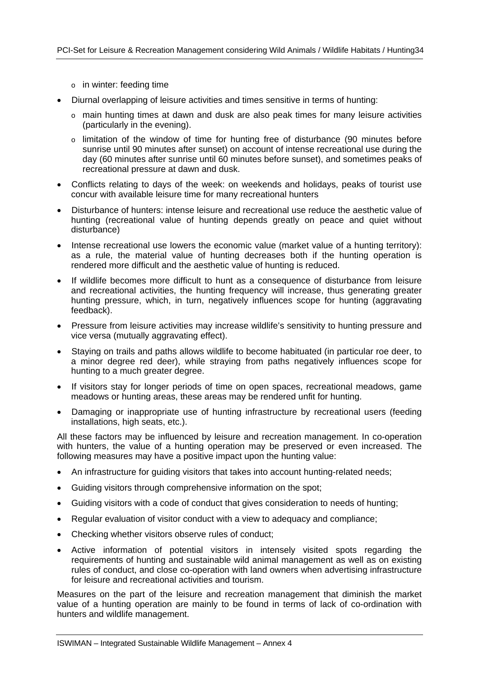- o in winter: feeding time
- Diurnal overlapping of leisure activities and times sensitive in terms of hunting:
	- $\circ$  main hunting times at dawn and dusk are also peak times for many leisure activities (particularly in the evening).
	- o limitation of the window of time for hunting free of disturbance (90 minutes before sunrise until 90 minutes after sunset) on account of intense recreational use during the day (60 minutes after sunrise until 60 minutes before sunset), and sometimes peaks of recreational pressure at dawn and dusk.
- Conflicts relating to days of the week: on weekends and holidays, peaks of tourist use concur with available leisure time for many recreational hunters
- Disturbance of hunters: intense leisure and recreational use reduce the aesthetic value of hunting (recreational value of hunting depends greatly on peace and quiet without disturbance)
- Intense recreational use lowers the economic value (market value of a hunting territory): as a rule, the material value of hunting decreases both if the hunting operation is rendered more difficult and the aesthetic value of hunting is reduced.
- If wildlife becomes more difficult to hunt as a consequence of disturbance from leisure and recreational activities, the hunting frequency will increase, thus generating greater hunting pressure, which, in turn, negatively influences scope for hunting (aggravating feedback).
- Pressure from leisure activities may increase wildlife's sensitivity to hunting pressure and vice versa (mutually aggravating effect).
- Staying on trails and paths allows wildlife to become habituated (in particular roe deer, to a minor degree red deer), while straying from paths negatively influences scope for hunting to a much greater degree.
- If visitors stay for longer periods of time on open spaces, recreational meadows, game meadows or hunting areas, these areas may be rendered unfit for hunting.
- Damaging or inappropriate use of hunting infrastructure by recreational users (feeding installations, high seats, etc.).

All these factors may be influenced by leisure and recreation management. In co-operation with hunters, the value of a hunting operation may be preserved or even increased. The following measures may have a positive impact upon the hunting value:

- An infrastructure for guiding visitors that takes into account hunting-related needs;
- Guiding visitors through comprehensive information on the spot;
- Guiding visitors with a code of conduct that gives consideration to needs of hunting;
- Regular evaluation of visitor conduct with a view to adequacy and compliance;
- Checking whether visitors observe rules of conduct;
- Active information of potential visitors in intensely visited spots regarding the requirements of hunting and sustainable wild animal management as well as on existing rules of conduct, and close co-operation with land owners when advertising infrastructure for leisure and recreational activities and tourism.

Measures on the part of the leisure and recreation management that diminish the market value of a hunting operation are mainly to be found in terms of lack of co-ordination with hunters and wildlife management.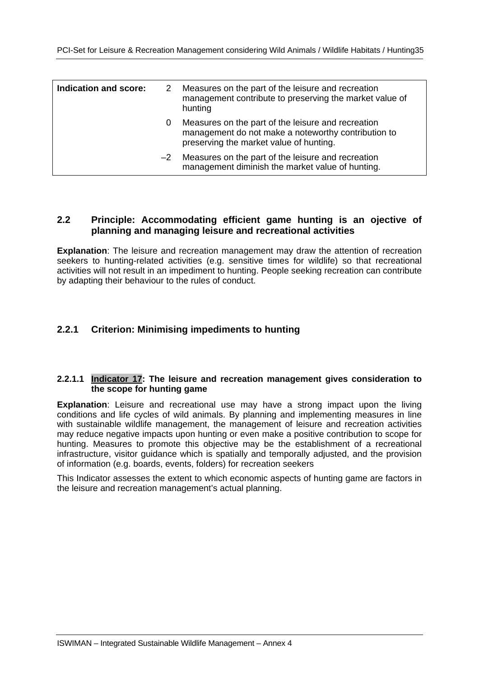| Indication and score: | 2    | Measures on the part of the leisure and recreation<br>management contribute to preserving the market value of<br>hunting                             |
|-----------------------|------|------------------------------------------------------------------------------------------------------------------------------------------------------|
|                       | 0    | Measures on the part of the leisure and recreation<br>management do not make a noteworthy contribution to<br>preserving the market value of hunting. |
|                       | $-2$ | Measures on the part of the leisure and recreation<br>management diminish the market value of hunting.                                               |

#### **2.2 Principle: Accommodating efficient game hunting is an ojective of planning and managing leisure and recreational activities**

**Explanation**: The leisure and recreation management may draw the attention of recreation seekers to hunting-related activities (e.g. sensitive times for wildlife) so that recreational activities will not result in an impediment to hunting. People seeking recreation can contribute by adapting their behaviour to the rules of conduct.

#### **2.2.1 Criterion: Minimising impediments to hunting**

#### **2.2.1.1 Indicator 17: The leisure and recreation management gives consideration to the scope for hunting game**

**Explanation**: Leisure and recreational use may have a strong impact upon the living conditions and life cycles of wild animals. By planning and implementing measures in line with sustainable wildlife management, the management of leisure and recreation activities may reduce negative impacts upon hunting or even make a positive contribution to scope for hunting. Measures to promote this objective may be the establishment of a recreational infrastructure, visitor guidance which is spatially and temporally adjusted, and the provision of information (e.g. boards, events, folders) for recreation seekers

This Indicator assesses the extent to which economic aspects of hunting game are factors in the leisure and recreation management's actual planning.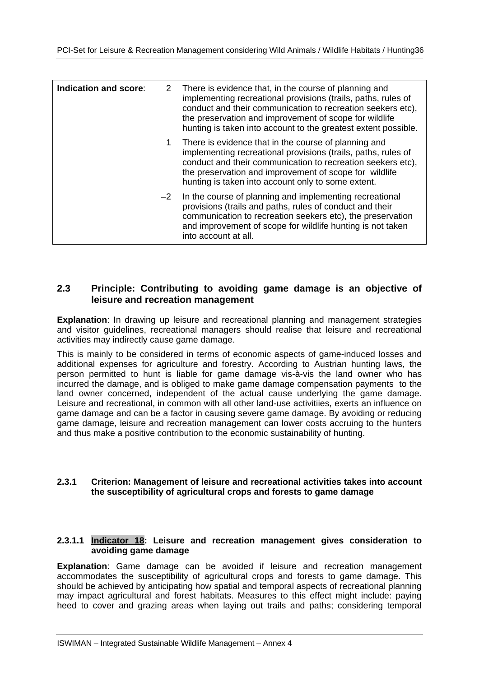| Indication and score: |      | 2 There is evidence that, in the course of planning and<br>implementing recreational provisions (trails, paths, rules of<br>conduct and their communication to recreation seekers etc),<br>the preservation and improvement of scope for wildlife<br>hunting is taken into account to the greatest extent possible. |
|-----------------------|------|---------------------------------------------------------------------------------------------------------------------------------------------------------------------------------------------------------------------------------------------------------------------------------------------------------------------|
|                       | 1.   | There is evidence that in the course of planning and<br>implementing recreational provisions (trails, paths, rules of<br>conduct and their communication to recreation seekers etc),<br>the preservation and improvement of scope for wildlife<br>hunting is taken into account only to some extent.                |
|                       | $-2$ | In the course of planning and implementing recreational<br>provisions (trails and paths, rules of conduct and their<br>communication to recreation seekers etc), the preservation<br>and improvement of scope for wildlife hunting is not taken<br>into account at all.                                             |

#### **2.3 Principle: Contributing to avoiding game damage is an objective of leisure and recreation management**

**Explanation**: In drawing up leisure and recreational planning and management strategies and visitor guidelines, recreational managers should realise that leisure and recreational activities may indirectly cause game damage.

This is mainly to be considered in terms of economic aspects of game-induced losses and additional expenses for agriculture and forestry. According to Austrian hunting laws, the person permitted to hunt is liable for game damage vis-à-vis the land owner who has incurred the damage, and is obliged to make game damage compensation payments to the land owner concerned, independent of the actual cause underlying the game damage. Leisure and recreational, in common with all other land-use activitiies, exerts an influence on game damage and can be a factor in causing severe game damage. By avoiding or reducing game damage, leisure and recreation management can lower costs accruing to the hunters and thus make a positive contribution to the economic sustainability of hunting.

#### **2.3.1 Criterion: Management of leisure and recreational activities takes into account the susceptibility of agricultural crops and forests to game damage**

#### **2.3.1.1 Indicator 18: Leisure and recreation management gives consideration to avoiding game damage**

**Explanation**: Game damage can be avoided if leisure and recreation management accommodates the susceptibility of agricultural crops and forests to game damage. This should be achieved by anticipating how spatial and temporal aspects of recreational planning may impact agricultural and forest habitats. Measures to this effect might include: paying heed to cover and grazing areas when laying out trails and paths; considering temporal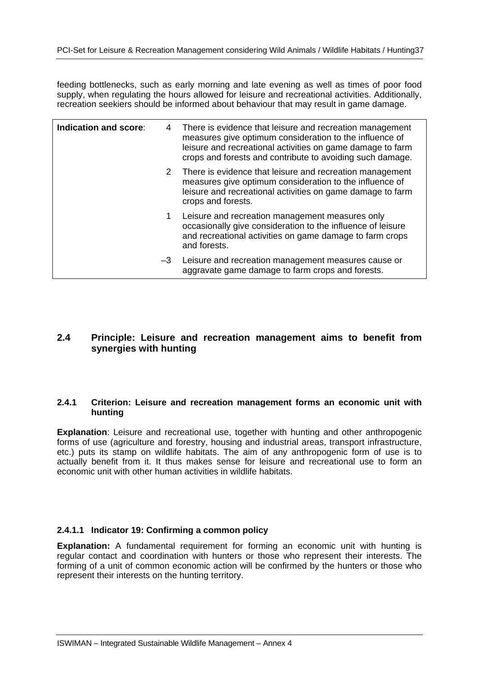feeding bottlenecks, such as early morning and late evening as well as times of poor food supply, when regulating the hours allowed for leisure and recreational activities. Additionally, recreation seekiers should be informed about behaviour that may result in game damage.

| Indication and score: | 4  | There is evidence that leisure and recreation management<br>measures give optimum consideration to the influence of<br>leisure and recreational activities on game damage to farm<br>crops and forests and contribute to avoiding such damage. |
|-----------------------|----|------------------------------------------------------------------------------------------------------------------------------------------------------------------------------------------------------------------------------------------------|
|                       | 2  | There is evidence that leisure and recreation management<br>measures give optimum consideration to the influence of<br>leisure and recreational activities on game damage to farm<br>crops and forests.                                        |
|                       | 1  | Leisure and recreation management measures only<br>occasionally give consideration to the influence of leisure<br>and recreational activities on game damage to farm crops<br>and forests.                                                     |
|                       | -3 | Leisure and recreation management measures cause or<br>aggravate game damage to farm crops and forests.                                                                                                                                        |

#### **2.4 Principle: Leisure and recreation management aims to benefit from synergies with hunting**

#### **2.4.1 Criterion: Leisure and recreation management forms an economic unit with hunting**

**Explanation**: Leisure and recreational use, together with hunting and other anthropogenic forms of use (agriculture and forestry, housing and industrial areas, transport infrastructure, etc.) puts its stamp on wildlife habitats. The aim of any anthropogenic form of use is to actually benefit from it. It thus makes sense for leisure and recreational use to form an economic unit with other human activities in wildlife habitats.

#### **2.4.1.1 Indicator 19: Confirming a common policy**

**Explanation:** A fundamental requirement for forming an economic unit with hunting is regular contact and coordination with hunters or those who represent their interests. The forming of a unit of common economic action will be confirmed by the hunters or those who represent their interests on the hunting territory.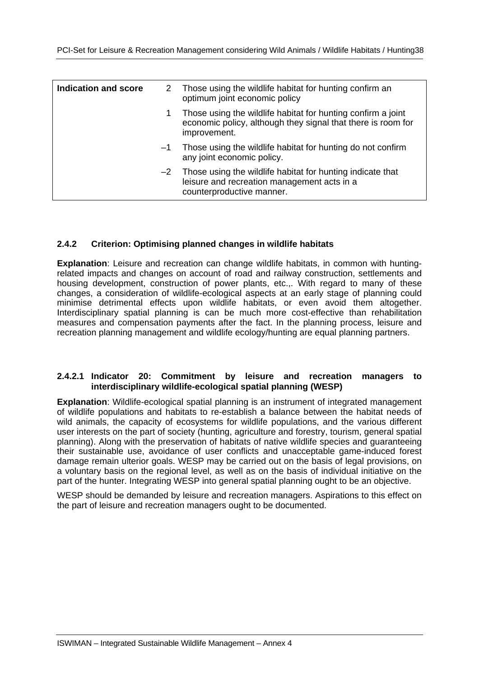| <b>Indication and score</b> |      | 2 Those using the wildlife habitat for hunting confirm an<br>optimum joint economic policy                                                   |
|-----------------------------|------|----------------------------------------------------------------------------------------------------------------------------------------------|
|                             |      | Those using the wildlife habitat for hunting confirm a joint<br>economic policy, although they signal that there is room for<br>improvement. |
|                             | $-1$ | Those using the wildlife habitat for hunting do not confirm<br>any joint economic policy.                                                    |
|                             | $-2$ | Those using the wildlife habitat for hunting indicate that<br>leisure and recreation management acts in a<br>counterproductive manner.       |

#### **2.4.2 Criterion: Optimising planned changes in wildlife habitats**

**Explanation**: Leisure and recreation can change wildlife habitats, in common with huntingrelated impacts and changes on account of road and railway construction, settlements and housing development, construction of power plants, etc.,. With regard to many of these changes, a consideration of wildlife-ecological aspects at an early stage of planning could minimise detrimental effects upon wildlife habitats, or even avoid them altogether. Interdisciplinary spatial planning is can be much more cost-effective than rehabilitation measures and compensation payments after the fact. In the planning process, leisure and recreation planning management and wildlife ecology/hunting are equal planning partners.

#### **2.4.2.1 Indicator 20: Commitment by leisure and recreation managers to interdisciplinary wildlife-ecological spatial planning (WESP)**

**Explanation**: Wildlife-ecological spatial planning is an instrument of integrated management of wildlife populations and habitats to re-establish a balance between the habitat needs of wild animals, the capacity of ecosystems for wildlife populations, and the various different user interests on the part of society (hunting, agriculture and forestry, tourism, general spatial planning). Along with the preservation of habitats of native wildlife species and guaranteeing their sustainable use, avoidance of user conflicts and unacceptable game-induced forest damage remain ulterior goals. WESP may be carried out on the basis of legal provisions, on a voluntary basis on the regional level, as well as on the basis of individual initiative on the part of the hunter. Integrating WESP into general spatial planning ought to be an objective.

WESP should be demanded by leisure and recreation managers. Aspirations to this effect on the part of leisure and recreation managers ought to be documented.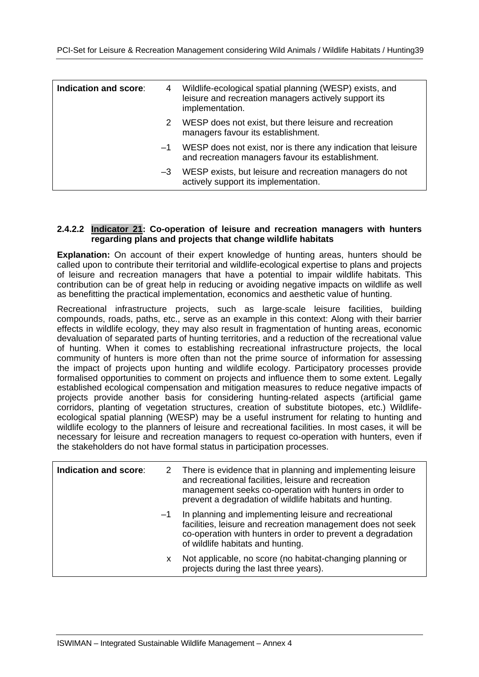| Indication and score: | 4    | Wildlife-ecological spatial planning (WESP) exists, and<br>leisure and recreation managers actively support its<br>implementation. |
|-----------------------|------|------------------------------------------------------------------------------------------------------------------------------------|
|                       | 2    | WESP does not exist, but there leisure and recreation<br>managers favour its establishment.                                        |
|                       | $-1$ | WESP does not exist, nor is there any indication that leisure<br>and recreation managers favour its establishment.                 |
|                       | $-3$ | WESP exists, but leisure and recreation managers do not<br>actively support its implementation.                                    |

#### **2.4.2.2 Indicator 21: Co-operation of leisure and recreation managers with hunters regarding plans and projects that change wildlife habitats**

**Explanation:** On account of their expert knowledge of hunting areas, hunters should be called upon to contribute their territorial and wildlife-ecological expertise to plans and projects of leisure and recreation managers that have a potential to impair wildlife habitats. This contribution can be of great help in reducing or avoiding negative impacts on wildlife as well as benefitting the practical implementation, economics and aesthetic value of hunting.

Recreational infrastructure projects, such as large-scale leisure facilities, building compounds, roads, paths, etc., serve as an example in this context: Along with their barrier effects in wildlife ecology, they may also result in fragmentation of hunting areas, economic devaluation of separated parts of hunting territories, and a reduction of the recreational value of hunting. When it comes to establishing recreational infrastructure projects, the local community of hunters is more often than not the prime source of information for assessing the impact of projects upon hunting and wildlife ecology. Participatory processes provide formalised opportunities to comment on projects and influence them to some extent. Legally established ecological compensation and mitigation measures to reduce negative impacts of projects provide another basis for considering hunting-related aspects (artificial game corridors, planting of vegetation structures, creation of substitute biotopes, etc.) Wildlifeecological spatial planning (WESP) may be a useful instrument for relating to hunting and wildlife ecology to the planners of leisure and recreational facilities. In most cases, it will be necessary for leisure and recreation managers to request co-operation with hunters, even if the stakeholders do not have formal status in participation processes.

|      | 2 There is evidence that in planning and implementing leisure<br>and recreational facilities, leisure and recreation<br>management seeks co-operation with hunters in order to<br>prevent a degradation of wildlife habitats and hunting. |
|------|-------------------------------------------------------------------------------------------------------------------------------------------------------------------------------------------------------------------------------------------|
| $-1$ | In planning and implementing leisure and recreational<br>facilities, leisure and recreation management does not seek<br>co-operation with hunters in order to prevent a degradation<br>of wildlife habitats and hunting.                  |
| x    | Not applicable, no score (no habitat-changing planning or<br>projects during the last three years).                                                                                                                                       |
|      |                                                                                                                                                                                                                                           |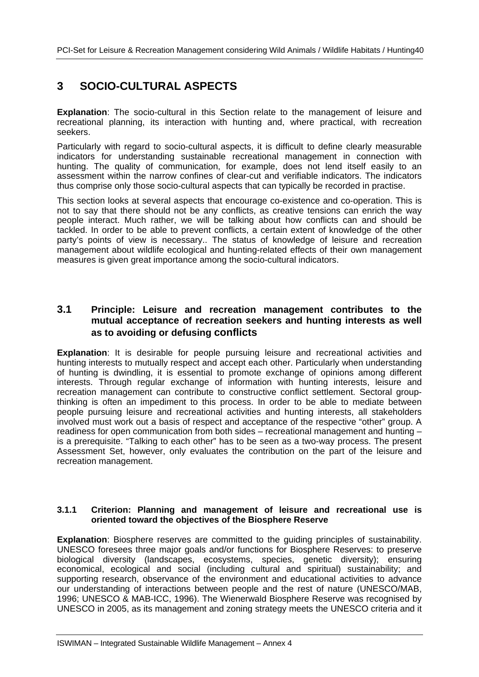### **3 SOCIO-CULTURAL ASPECTS**

**Explanation**: The socio-cultural in this Section relate to the management of leisure and recreational planning, its interaction with hunting and, where practical, with recreation seekers.

Particularly with regard to socio-cultural aspects, it is difficult to define clearly measurable indicators for understanding sustainable recreational management in connection with hunting. The quality of communication, for example, does not lend itself easily to an assessment within the narrow confines of clear-cut and verifiable indicators. The indicators thus comprise only those socio-cultural aspects that can typically be recorded in practise.

This section looks at several aspects that encourage co-existence and co-operation. This is not to say that there should not be any conflicts, as creative tensions can enrich the way people interact. Much rather, we will be talking about how conflicts can and should be tackled. In order to be able to prevent conflicts, a certain extent of knowledge of the other party's points of view is necessary.. The status of knowledge of leisure and recreation management about wildlife ecological and hunting-related effects of their own management measures is given great importance among the socio-cultural indicators.

#### **3.1 Principle: Leisure and recreation management contributes to the mutual acceptance of recreation seekers and hunting interests as well as to avoiding or defusing conflicts**

**Explanation**: It is desirable for people pursuing leisure and recreational activities and hunting interests to mutually respect and accept each other. Particularly when understanding of hunting is dwindling, it is essential to promote exchange of opinions among different interests. Through regular exchange of information with hunting interests, leisure and recreation management can contribute to constructive conflict settlement. Sectoral groupthinking is often an impediment to this process. In order to be able to mediate between people pursuing leisure and recreational activities and hunting interests, all stakeholders involved must work out a basis of respect and acceptance of the respective "other" group. A readiness for open communication from both sides – recreational management and hunting – is a prerequisite. "Talking to each other" has to be seen as a two-way process. The present Assessment Set, however, only evaluates the contribution on the part of the leisure and recreation management.

#### **3.1.1 Criterion: Planning and management of leisure and recreational use is oriented toward the objectives of the Biosphere Reserve**

**Explanation**: Biosphere reserves are committed to the guiding principles of sustainability. UNESCO foresees three major goals and/or functions for Biosphere Reserves: to preserve biological diversity (landscapes, ecosystems, species, genetic diversity); ensuring economical, ecological and social (including cultural and spiritual) sustainability; and supporting research, observance of the environment and educational activities to advance our understanding of interactions between people and the rest of nature (UNESCO/MAB, 1996; UNESCO & MAB-ICC, 1996). The Wienerwald Biosphere Reserve was recognised by UNESCO in 2005, as its management and zoning strategy meets the UNESCO criteria and it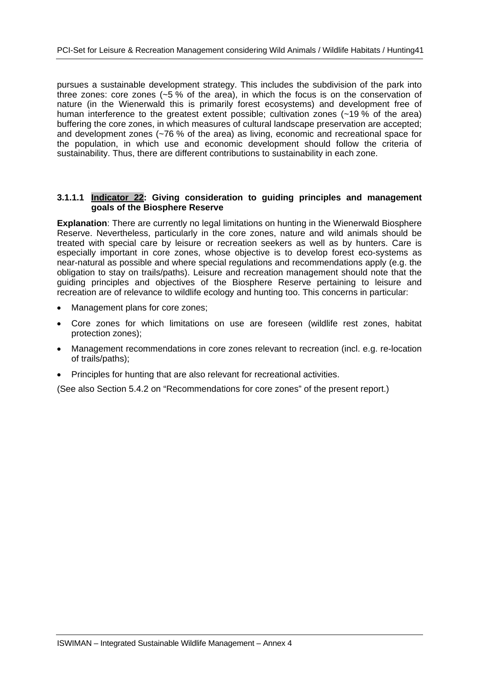pursues a sustainable development strategy. This includes the subdivision of the park into three zones: core zones (~5 % of the area), in which the focus is on the conservation of nature (in the Wienerwald this is primarily forest ecosystems) and development free of human interference to the greatest extent possible; cultivation zones (~19 % of the area) buffering the core zones, in which measures of cultural landscape preservation are accepted; and development zones (~76 % of the area) as living, economic and recreational space for the population, in which use and economic development should follow the criteria of sustainability. Thus, there are different contributions to sustainability in each zone.

#### **3.1.1.1 Indicator 22: Giving consideration to guiding principles and management goals of the Biosphere Reserve**

**Explanation**: There are currently no legal limitations on hunting in the Wienerwald Biosphere Reserve. Nevertheless, particularly in the core zones, nature and wild animals should be treated with special care by leisure or recreation seekers as well as by hunters. Care is especially important in core zones, whose objective is to develop forest eco-systems as near-natural as possible and where special regulations and recommendations apply (e.g. the obligation to stay on trails/paths). Leisure and recreation management should note that the guiding principles and objectives of the Biosphere Reserve pertaining to leisure and recreation are of relevance to wildlife ecology and hunting too. This concerns in particular:

- Management plans for core zones;
- Core zones for which limitations on use are foreseen (wildlife rest zones, habitat protection zones);
- Management recommendations in core zones relevant to recreation (incl. e.g. re-location of trails/paths);
- Principles for hunting that are also relevant for recreational activities.

(See also Section 5.4.2 on "Recommendations for core zones" of the present report.)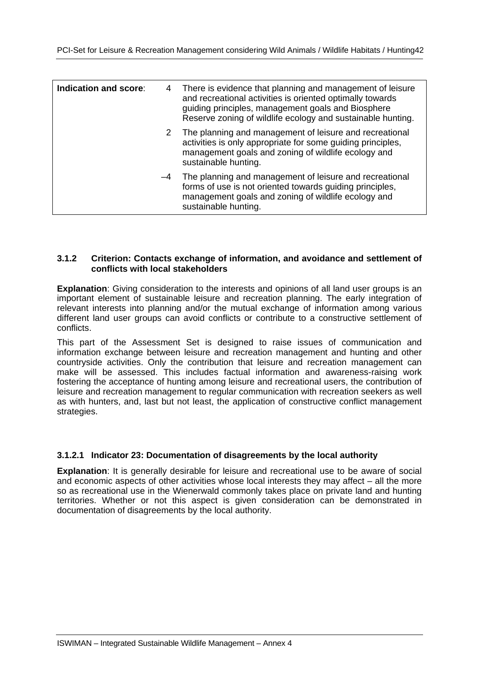| Indication and score: | 4              | There is evidence that planning and management of leisure<br>and recreational activities is oriented optimally towards<br>guiding principles, management goals and Biosphere<br>Reserve zoning of wildlife ecology and sustainable hunting. |
|-----------------------|----------------|---------------------------------------------------------------------------------------------------------------------------------------------------------------------------------------------------------------------------------------------|
|                       | 2 <sup>1</sup> | The planning and management of leisure and recreational<br>activities is only appropriate for some guiding principles,<br>management goals and zoning of wildlife ecology and<br>sustainable hunting.                                       |
|                       | -4             | The planning and management of leisure and recreational<br>forms of use is not oriented towards guiding principles,<br>management goals and zoning of wildlife ecology and<br>sustainable hunting.                                          |

#### **3.1.2 Criterion: Contacts exchange of information, and avoidance and settlement of conflicts with local stakeholders**

**Explanation**: Giving consideration to the interests and opinions of all land user groups is an important element of sustainable leisure and recreation planning. The early integration of relevant interests into planning and/or the mutual exchange of information among various different land user groups can avoid conflicts or contribute to a constructive settlement of conflicts.

This part of the Assessment Set is designed to raise issues of communication and information exchange between leisure and recreation management and hunting and other countryside activities. Only the contribution that leisure and recreation management can make will be assessed. This includes factual information and awareness-raising work fostering the acceptance of hunting among leisure and recreational users, the contribution of leisure and recreation management to regular communication with recreation seekers as well as with hunters, and, last but not least, the application of constructive conflict management strategies.

#### **3.1.2.1 Indicator 23: Documentation of disagreements by the local authority**

**Explanation**: It is generally desirable for leisure and recreational use to be aware of social and economic aspects of other activities whose local interests they may affect – all the more so as recreational use in the Wienerwald commonly takes place on private land and hunting territories. Whether or not this aspect is given consideration can be demonstrated in documentation of disagreements by the local authority.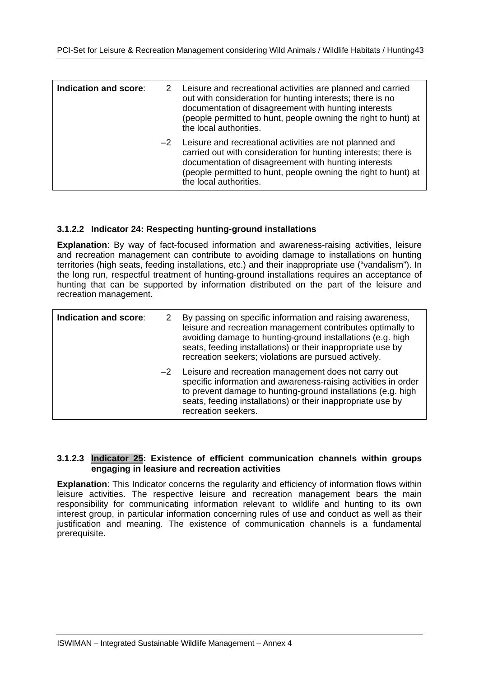| Indication and score: | 2 Leisure and recreational activities are planned and carried<br>out with consideration for hunting interests; there is no<br>documentation of disagreement with hunting interests<br>(people permitted to hunt, people owning the right to hunt) at<br>the local authorities.     |
|-----------------------|------------------------------------------------------------------------------------------------------------------------------------------------------------------------------------------------------------------------------------------------------------------------------------|
|                       | $-2$ Leisure and recreational activities are not planned and<br>carried out with consideration for hunting interests; there is<br>documentation of disagreement with hunting interests<br>(people permitted to hunt, people owning the right to hunt) at<br>the local authorities. |

#### **3.1.2.2 Indicator 24: Respecting hunting-ground installations**

**Explanation**: By way of fact-focused information and awareness-raising activities, leisure and recreation management can contribute to avoiding damage to installations on hunting territories (high seats, feeding installations, etc.) and their inappropriate use ("vandalism"). In the long run, respectful treatment of hunting-ground installations requires an acceptance of hunting that can be supported by information distributed on the part of the leisure and recreation management.

| Indication and score: | 2 By passing on specific information and raising awareness,<br>leisure and recreation management contributes optimally to<br>avoiding damage to hunting-ground installations (e.g. high<br>seats, feeding installations) or their inappropriate use by<br>recreation seekers; violations are pursued actively. |
|-----------------------|----------------------------------------------------------------------------------------------------------------------------------------------------------------------------------------------------------------------------------------------------------------------------------------------------------------|
|                       | -2 Leisure and recreation management does not carry out<br>specific information and awareness-raising activities in order<br>to prevent damage to hunting-ground installations (e.g. high<br>seats, feeding installations) or their inappropriate use by<br>recreation seekers.                                |

#### **3.1.2.3 Indicator 25: Existence of efficient communication channels within groups engaging in leasiure and recreation activities**

**Explanation**: This Indicator concerns the regularity and efficiency of information flows within leisure activities. The respective leisure and recreation management bears the main responsibility for communicating information relevant to wildlife and hunting to its own interest group, in particular information concerning rules of use and conduct as well as their justification and meaning. The existence of communication channels is a fundamental prerequisite.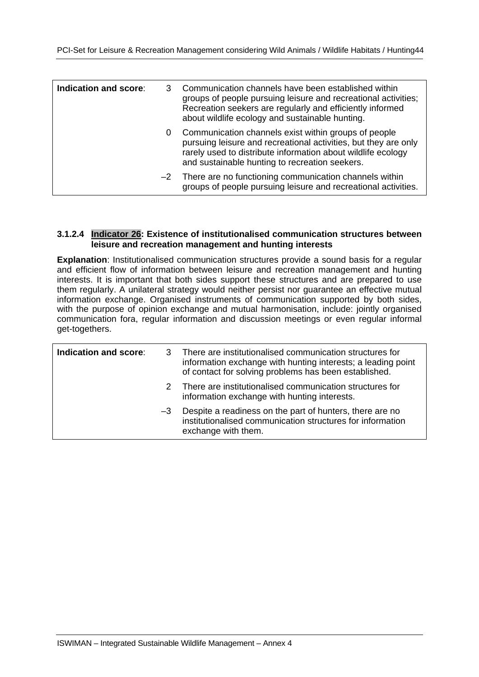| Indication and score: |   | Communication channels have been established within<br>groups of people pursuing leisure and recreational activities;<br>Recreation seekers are regularly and efficiently informed<br>about wildlife ecology and sustainable hunting.     |
|-----------------------|---|-------------------------------------------------------------------------------------------------------------------------------------------------------------------------------------------------------------------------------------------|
|                       | 0 | Communication channels exist within groups of people<br>pursuing leisure and recreational activities, but they are only<br>rarely used to distribute information about wildlife ecology<br>and sustainable hunting to recreation seekers. |
|                       |   | -2 There are no functioning communication channels within<br>groups of people pursuing leisure and recreational activities.                                                                                                               |

#### **3.1.2.4 Indicator 26: Existence of institutionalised communication structures between leisure and recreation management and hunting interests**

**Explanation**: Institutionalised communication structures provide a sound basis for a regular and efficient flow of information between leisure and recreation management and hunting interests. It is important that both sides support these structures and are prepared to use them regularly. A unilateral strategy would neither persist nor guarantee an effective mutual information exchange. Organised instruments of communication supported by both sides, with the purpose of opinion exchange and mutual harmonisation, include: jointly organised communication fora, regular information and discussion meetings or even regular informal get-togethers.

| Indication and score: |      | 3 There are institutionalised communication structures for<br>information exchange with hunting interests; a leading point<br>of contact for solving problems has been established. |
|-----------------------|------|-------------------------------------------------------------------------------------------------------------------------------------------------------------------------------------|
|                       |      | 2 There are institutionalised communication structures for<br>information exchange with hunting interests.                                                                          |
|                       | $-3$ | Despite a readiness on the part of hunters, there are no<br>institutionalised communication structures for information<br>exchange with them.                                       |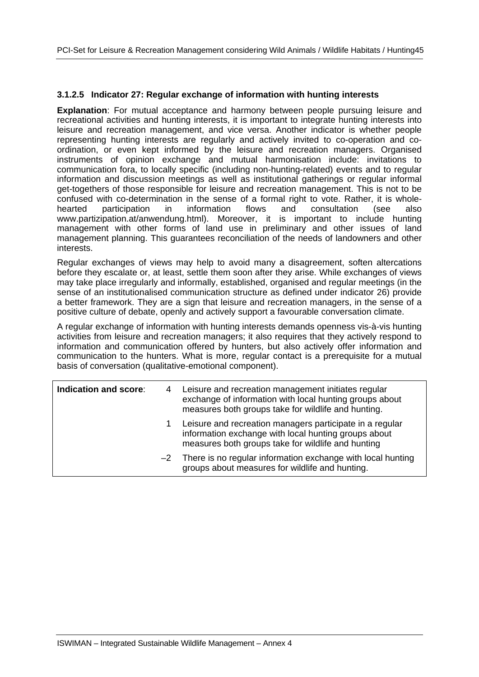#### **3.1.2.5 Indicator 27: Regular exchange of information with hunting interests**

**Explanation**: For mutual acceptance and harmony between people pursuing leisure and recreational activities and hunting interests, it is important to integrate hunting interests into leisure and recreation management, and vice versa. Another indicator is whether people representing hunting interests are regularly and actively invited to co-operation and coordination, or even kept informed by the leisure and recreation managers. Organised instruments of opinion exchange and mutual harmonisation include: invitations to communication fora, to locally specific (including non-hunting-related) events and to regular information and discussion meetings as well as institutional gatherings or regular informal get-togethers of those responsible for leisure and recreation management. This is not to be confused with co-determination in the sense of a formal right to vote. Rather, it is wholehearted participation in information flows and consultation (see also www.partizipation.at/anwendung.html). Moreover, it is important to include hunting management with other forms of land use in preliminary and other issues of land management planning. This guarantees reconciliation of the needs of landowners and other interests.

Regular exchanges of views may help to avoid many a disagreement, soften altercations before they escalate or, at least, settle them soon after they arise. While exchanges of views may take place irregularly and informally, established, organised and regular meetings (in the sense of an institutionalised communication structure as defined under indicator 26) provide a better framework. They are a sign that leisure and recreation managers, in the sense of a positive culture of debate, openly and actively support a favourable conversation climate.

A regular exchange of information with hunting interests demands openness vis-à-vis hunting activities from leisure and recreation managers; it also requires that they actively respond to information and communication offered by hunters, but also actively offer information and communication to the hunters. What is more, regular contact is a prerequisite for a mutual basis of conversation (qualitative-emotional component).

| Indication and score: | 4  | Leisure and recreation management initiates regular<br>exchange of information with local hunting groups about<br>measures both groups take for wildlife and hunting.  |
|-----------------------|----|------------------------------------------------------------------------------------------------------------------------------------------------------------------------|
|                       | 1. | Leisure and recreation managers participate in a regular<br>information exchange with local hunting groups about<br>measures both groups take for wildlife and hunting |
|                       |    | $-2$ There is no regular information exchange with local hunting<br>groups about measures for wildlife and hunting.                                                    |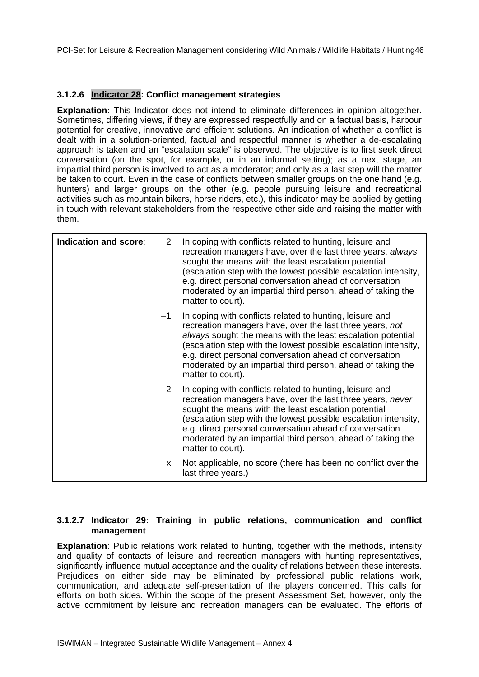#### **3.1.2.6 Indicator 28: Conflict management strategies**

**Explanation:** This Indicator does not intend to eliminate differences in opinion altogether. Sometimes, differing views, if they are expressed respectfully and on a factual basis, harbour potential for creative, innovative and efficient solutions. An indication of whether a conflict is dealt with in a solution-oriented, factual and respectful manner is whether a de-escalating approach is taken and an "escalation scale" is observed. The objective is to first seek direct conversation (on the spot, for example, or in an informal setting); as a next stage, an impartial third person is involved to act as a moderator; and only as a last step will the matter be taken to court. Even in the case of conflicts between smaller groups on the one hand (e.g. hunters) and larger groups on the other (e.g. people pursuing leisure and recreational activities such as mountain bikers, horse riders, etc.), this indicator may be applied by getting in touch with relevant stakeholders from the respective other side and raising the matter with them.

| Indication and score: | $\mathbf{2}^{\prime}$ | In coping with conflicts related to hunting, leisure and<br>recreation managers have, over the last three years, always<br>sought the means with the least escalation potential<br>(escalation step with the lowest possible escalation intensity,<br>e.g. direct personal conversation ahead of conversation<br>moderated by an impartial third person, ahead of taking the<br>matter to court).     |
|-----------------------|-----------------------|-------------------------------------------------------------------------------------------------------------------------------------------------------------------------------------------------------------------------------------------------------------------------------------------------------------------------------------------------------------------------------------------------------|
|                       | $-1$                  | In coping with conflicts related to hunting, leisure and<br>recreation managers have, over the last three years, not<br>always sought the means with the least escalation potential<br>(escalation step with the lowest possible escalation intensity,<br>e.g. direct personal conversation ahead of conversation<br>moderated by an impartial third person, ahead of taking the<br>matter to court). |
|                       | $-2$                  | In coping with conflicts related to hunting, leisure and<br>recreation managers have, over the last three years, never<br>sought the means with the least escalation potential<br>(escalation step with the lowest possible escalation intensity,<br>e.g. direct personal conversation ahead of conversation<br>moderated by an impartial third person, ahead of taking the<br>matter to court).      |
|                       | X.                    | Not applicable, no score (there has been no conflict over the<br>last three years.)                                                                                                                                                                                                                                                                                                                   |

#### **3.1.2.7 Indicator 29: Training in public relations, communication and conflict management**

**Explanation**: Public relations work related to hunting, together with the methods, intensity and quality of contacts of leisure and recreation managers with hunting representatives, significantly influence mutual acceptance and the quality of relations between these interests. Prejudices on either side may be eliminated by professional public relations work, communication, and adequate self-presentation of the players concerned. This calls for efforts on both sides. Within the scope of the present Assessment Set, however, only the active commitment by leisure and recreation managers can be evaluated. The efforts of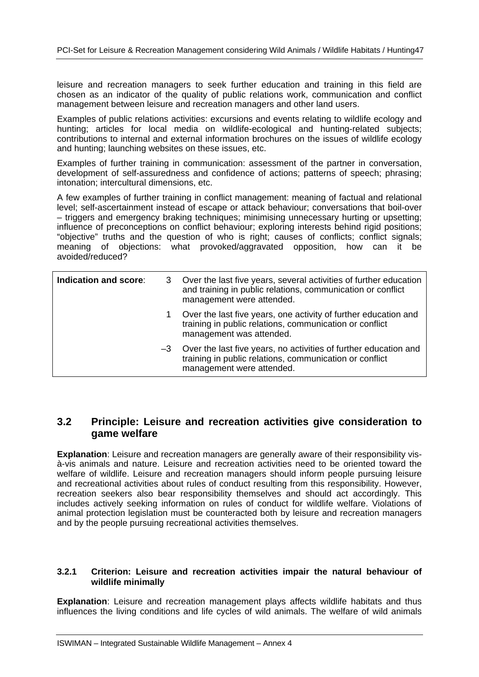leisure and recreation managers to seek further education and training in this field are chosen as an indicator of the quality of public relations work, communication and conflict management between leisure and recreation managers and other land users.

Examples of public relations activities: excursions and events relating to wildlife ecology and hunting; articles for local media on wildlife-ecological and hunting-related subjects; contributions to internal and external information brochures on the issues of wildlife ecology and hunting; launching websites on these issues, etc.

Examples of further training in communication: assessment of the partner in conversation, development of self-assuredness and confidence of actions; patterns of speech; phrasing; intonation; intercultural dimensions, etc.

A few examples of further training in conflict management: meaning of factual and relational level; self-ascertainment instead of escape or attack behaviour; conversations that boil-over – triggers and emergency braking techniques; minimising unnecessary hurting or upsetting; influence of preconceptions on conflict behaviour; exploring interests behind rigid positions; "objective" truths and the question of who is right; causes of conflicts; conflict signals; meaning of objections: what provoked/aggravated opposition, how can it be avoided/reduced?

| Indication and score: | 3    | Over the last five years, several activities of further education<br>and training in public relations, communication or conflict<br>management were attended. |
|-----------------------|------|---------------------------------------------------------------------------------------------------------------------------------------------------------------|
|                       | 1.   | Over the last five years, one activity of further education and<br>training in public relations, communication or conflict<br>management was attended.        |
|                       | $-3$ | Over the last five years, no activities of further education and<br>training in public relations, communication or conflict<br>management were attended.      |

#### **3.2 Principle: Leisure and recreation activities give consideration to game welfare**

**Explanation**: Leisure and recreation managers are generally aware of their responsibility visà-vis animals and nature. Leisure and recreation activities need to be oriented toward the welfare of wildlife. Leisure and recreation managers should inform people pursuing leisure and recreational activities about rules of conduct resulting from this responsibility. However, recreation seekers also bear responsibility themselves and should act accordingly. This includes actively seeking information on rules of conduct for wildlife welfare. Violations of animal protection legislation must be counteracted both by leisure and recreation managers and by the people pursuing recreational activities themselves.

#### **3.2.1 Criterion: Leisure and recreation activities impair the natural behaviour of wildlife minimally**

**Explanation**: Leisure and recreation management plays affects wildlife habitats and thus influences the living conditions and life cycles of wild animals. The welfare of wild animals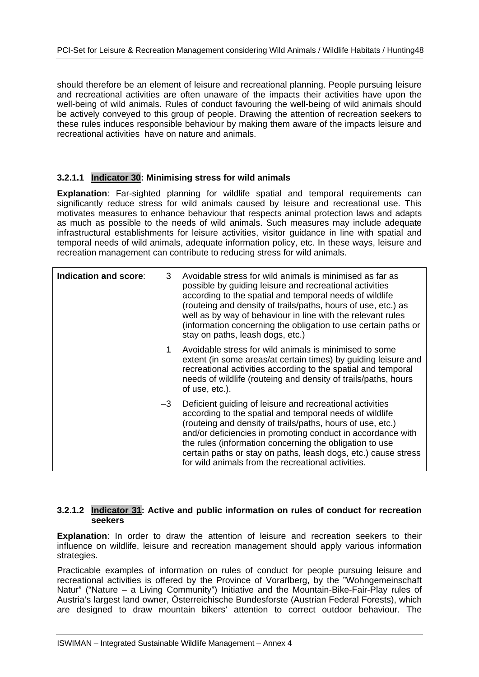should therefore be an element of leisure and recreational planning. People pursuing leisure and recreational activities are often unaware of the impacts their activities have upon the well-being of wild animals. Rules of conduct favouring the well-being of wild animals should be actively conveyed to this group of people. Drawing the attention of recreation seekers to these rules induces responsible behaviour by making them aware of the impacts leisure and recreational activities have on nature and animals.

#### **3.2.1.1 Indicator 30: Minimising stress for wild animals**

**Explanation**: Far-sighted planning for wildlife spatial and temporal requirements can significantly reduce stress for wild animals caused by leisure and recreational use. This motivates measures to enhance behaviour that respects animal protection laws and adapts as much as possible to the needs of wild animals. Such measures may include adequate infrastructural establishments for leisure activities, visitor guidance in line with spatial and temporal needs of wild animals, adequate information policy, etc. In these ways, leisure and recreation management can contribute to reducing stress for wild animals.

| Indication and score: | 3  | Avoidable stress for wild animals is minimised as far as<br>possible by guiding leisure and recreational activities<br>according to the spatial and temporal needs of wildlife<br>(routeing and density of trails/paths, hours of use, etc.) as<br>well as by way of behaviour in line with the relevant rules<br>(information concerning the obligation to use certain paths or<br>stay on paths, leash dogs, etc.)                |
|-----------------------|----|-------------------------------------------------------------------------------------------------------------------------------------------------------------------------------------------------------------------------------------------------------------------------------------------------------------------------------------------------------------------------------------------------------------------------------------|
|                       | 1  | Avoidable stress for wild animals is minimised to some<br>extent (in some areas/at certain times) by guiding leisure and<br>recreational activities according to the spatial and temporal<br>needs of wildlife (routeing and density of trails/paths, hours<br>of use, etc.).                                                                                                                                                       |
|                       | -3 | Deficient guiding of leisure and recreational activities<br>according to the spatial and temporal needs of wildlife<br>(routeing and density of trails/paths, hours of use, etc.)<br>and/or deficiencies in promoting conduct in accordance with<br>the rules (information concerning the obligation to use<br>certain paths or stay on paths, leash dogs, etc.) cause stress<br>for wild animals from the recreational activities. |

#### **3.2.1.2 Indicator 31: Active and public information on rules of conduct for recreation seekers**

**Explanation**: In order to draw the attention of leisure and recreation seekers to their influence on wildlife, leisure and recreation management should apply various information strategies.

Practicable examples of information on rules of conduct for people pursuing leisure and recreational activities is offered by the Province of Vorarlberg, by the "Wohngemeinschaft Natur" ("Nature – a Living Community") Initiative and the Mountain-Bike-Fair-Play rules of Austria's largest land owner, Österreichische Bundesforste (Austrian Federal Forests), which are designed to draw mountain bikers' attention to correct outdoor behaviour. The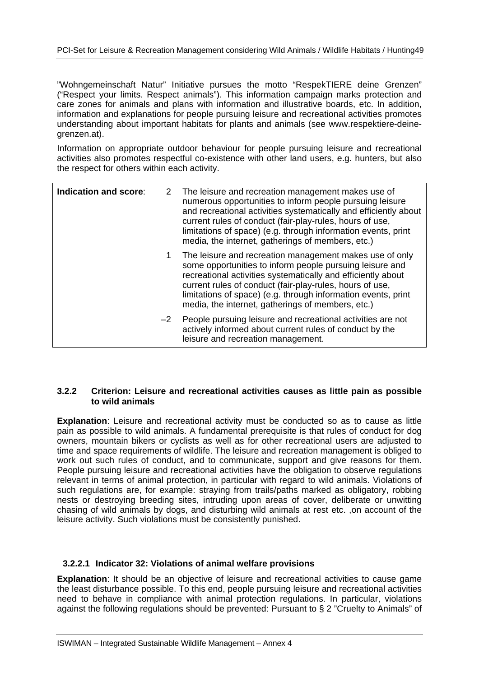"Wohngemeinschaft Natur" Initiative pursues the motto "RespekTIERE deine Grenzen" ("Respect your limits. Respect animals"). This information campaign marks protection and care zones for animals and plans with information and illustrative boards, etc. In addition, information and explanations for people pursuing leisure and recreational activities promotes understanding about important habitats for plants and animals (see www.respektiere-deinegrenzen.at).

Information on appropriate outdoor behaviour for people pursuing leisure and recreational activities also promotes respectful co-existence with other land users, e.g. hunters, but also the respect for others within each activity.

| Indication and score: |    | 2 The leisure and recreation management makes use of<br>numerous opportunities to inform people pursuing leisure<br>and recreational activities systematically and efficiently about<br>current rules of conduct (fair-play-rules, hours of use,<br>limitations of space) (e.g. through information events, print<br>media, the internet, gatherings of members, etc.) |
|-----------------------|----|------------------------------------------------------------------------------------------------------------------------------------------------------------------------------------------------------------------------------------------------------------------------------------------------------------------------------------------------------------------------|
|                       | 1. | The leisure and recreation management makes use of only<br>some opportunities to inform people pursuing leisure and<br>recreational activities systematically and efficiently about<br>current rules of conduct (fair-play-rules, hours of use,<br>limitations of space) (e.g. through information events, print<br>media, the internet, gatherings of members, etc.)  |
|                       |    | -2 People pursuing leisure and recreational activities are not<br>actively informed about current rules of conduct by the<br>leisure and recreation management.                                                                                                                                                                                                        |

#### **3.2.2 Criterion: Leisure and recreational activities causes as little pain as possible to wild animals**

**Explanation**: Leisure and recreational activity must be conducted so as to cause as little pain as possible to wild animals. A fundamental prerequisite is that rules of conduct for dog owners, mountain bikers or cyclists as well as for other recreational users are adjusted to time and space requirements of wildlife. The leisure and recreation management is obliged to work out such rules of conduct, and to communicate, support and give reasons for them. People pursuing leisure and recreational activities have the obligation to observe regulations relevant in terms of animal protection, in particular with regard to wild animals. Violations of such regulations are, for example: straying from trails/paths marked as obligatory, robbing nests or destroying breeding sites, intruding upon areas of cover, deliberate or unwitting chasing of wild animals by dogs, and disturbing wild animals at rest etc. ,on account of the leisure activity. Such violations must be consistently punished.

#### **3.2.2.1 Indicator 32: Violations of animal welfare provisions**

**Explanation**: It should be an objective of leisure and recreational activities to cause game the least disturbance possible. To this end, people pursuing leisure and recreational activities need to behave in compliance with animal protection regulations. In particular, violations against the following regulations should be prevented: Pursuant to § 2 "Cruelty to Animals" of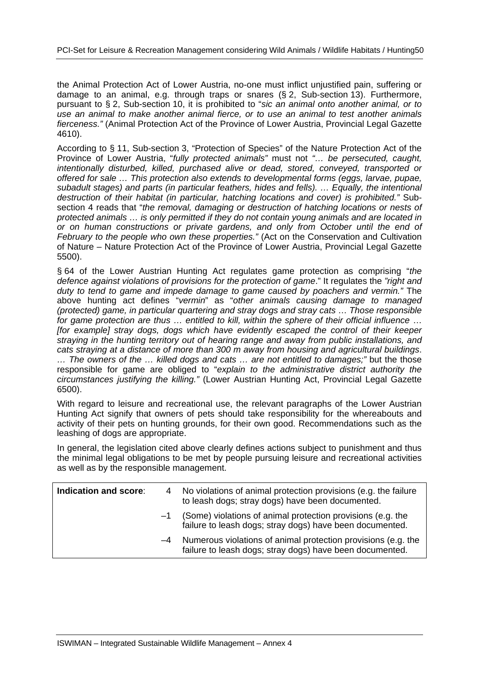the Animal Protection Act of Lower Austria, no-one must inflict unjustified pain, suffering or damage to an animal, e.g. through traps or snares (§ 2, Sub-section 13). Furthermore, pursuant to § 2, Sub-section 10, it is prohibited to "*sic an animal onto another animal, or to use an animal to make another animal fierce, or to use an animal to test another animals fierceness."* (Animal Protection Act of the Province of Lower Austria, Provincial Legal Gazette 4610).

According to § 11, Sub-section 3, "Protection of Species" of the Nature Protection Act of the Province of Lower Austria, "*fully protected animals"* must not *"… be persecuted, caught, intentionally disturbed, killed, purchased alive or dead, stored, conveyed, transported or offered for sale … This protection also extends to developmental forms (eggs, larvae, pupae, subadult stages) and parts (in particular feathers, hides and fells). … Equally, the intentional destruction of their habitat (in particular, hatching locations and cover) is prohibited."* Subsection 4 reads that "*the removal, damaging or destruction of hatching locations or nests of protected animals … is only permitted if they do not contain young animals and are located in or on human constructions or private gardens, and only from October until the end of February to the people who own these properties."* (Act on the Conservation and Cultivation of Nature – Nature Protection Act of the Province of Lower Austria, Provincial Legal Gazette 5500).

§ 64 of the Lower Austrian Hunting Act regulates game protection as comprising "*the defence against violations of provisions for the protection of game*." It regulates the *"right and duty to tend to game and impede damage to game caused by poachers and vermin."* The above hunting act defines "*vermin*" as "*other animals causing damage to managed (protected) game, in particular quartering and stray dogs and stray cats* … *Those responsible for game protection are thus … entitled to kill, within the sphere of their official influence* … *[for example] stray dogs, dogs which have evidently escaped the control of their keeper straying in the hunting territory out of hearing range and away from public installations, and cats straying at a distance of more than 300 m away from housing and agricultural buildings*. *… The owners of the … killed dogs and cats … are not entitled to damages;"* but the those responsible for game are obliged to "*explain to the administrative district authority the circumstances justifying the killing."* (Lower Austrian Hunting Act, Provincial Legal Gazette 6500).

With regard to leisure and recreational use, the relevant paragraphs of the Lower Austrian Hunting Act signify that owners of pets should take responsibility for the whereabouts and activity of their pets on hunting grounds, for their own good. Recommendations such as the leashing of dogs are appropriate.

In general, the legislation cited above clearly defines actions subject to punishment and thus the minimal legal obligations to be met by people pursuing leisure and recreational activities as well as by the responsible management.

| Indication and score: |      | 4 No violations of animal protection provisions (e.g. the failure<br>to leash dogs; stray dogs) have been documented.     |
|-----------------------|------|---------------------------------------------------------------------------------------------------------------------------|
|                       | $-1$ | (Some) violations of animal protection provisions (e.g. the<br>failure to leash dogs; stray dogs) have been documented.   |
|                       | $-4$ | Numerous violations of animal protection provisions (e.g. the<br>failure to leash dogs; stray dogs) have been documented. |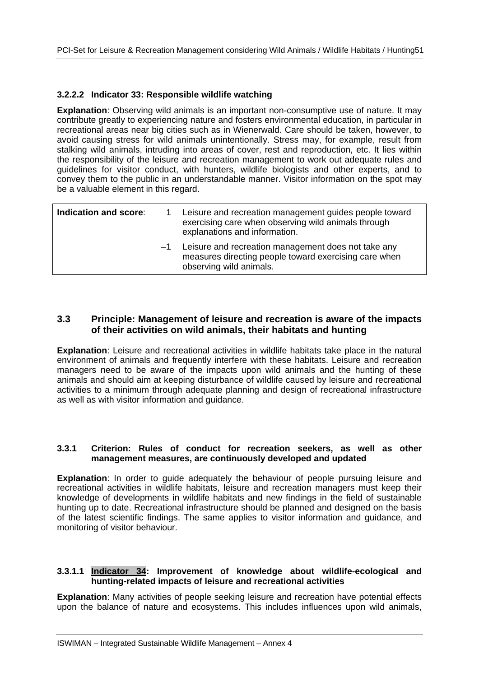#### **3.2.2.2 Indicator 33: Responsible wildlife watching**

**Explanation**: Observing wild animals is an important non-consumptive use of nature. It may contribute greatly to experiencing nature and fosters environmental education, in particular in recreational areas near big cities such as in Wienerwald. Care should be taken, however, to avoid causing stress for wild animals unintentionally. Stress may, for example, result from stalking wild animals, intruding into areas of cover, rest and reproduction, etc. It lies within the responsibility of the leisure and recreation management to work out adequate rules and guidelines for visitor conduct, with hunters, wildlife biologists and other experts, and to convey them to the public in an understandable manner. Visitor information on the spot may be a valuable element in this regard.

| Indication and score: |      | Leisure and recreation management guides people toward<br>exercising care when observing wild animals through<br>explanations and information. |
|-----------------------|------|------------------------------------------------------------------------------------------------------------------------------------------------|
|                       | $-1$ | Leisure and recreation management does not take any<br>measures directing people toward exercising care when<br>observing wild animals.        |

#### **3.3 Principle: Management of leisure and recreation is aware of the impacts of their activities on wild animals, their habitats and hunting**

**Explanation**: Leisure and recreational activities in wildlife habitats take place in the natural environment of animals and frequently interfere with these habitats. Leisure and recreation managers need to be aware of the impacts upon wild animals and the hunting of these animals and should aim at keeping disturbance of wildlife caused by leisure and recreational activities to a minimum through adequate planning and design of recreational infrastructure as well as with visitor information and guidance.

#### **3.3.1 Criterion: Rules of conduct for recreation seekers, as well as other management measures, are continuously developed and updated**

**Explanation**: In order to quide adequately the behaviour of people pursuing leisure and recreational activities in wildlife habitats, leisure and recreation managers must keep their knowledge of developments in wildlife habitats and new findings in the field of sustainable hunting up to date. Recreational infrastructure should be planned and designed on the basis of the latest scientific findings. The same applies to visitor information and guidance, and monitoring of visitor behaviour.

#### **3.3.1.1 Indicator 34: Improvement of knowledge about wildlife-ecological and hunting-related impacts of leisure and recreational activities**

**Explanation**: Many activities of people seeking leisure and recreation have potential effects upon the balance of nature and ecosystems. This includes influences upon wild animals,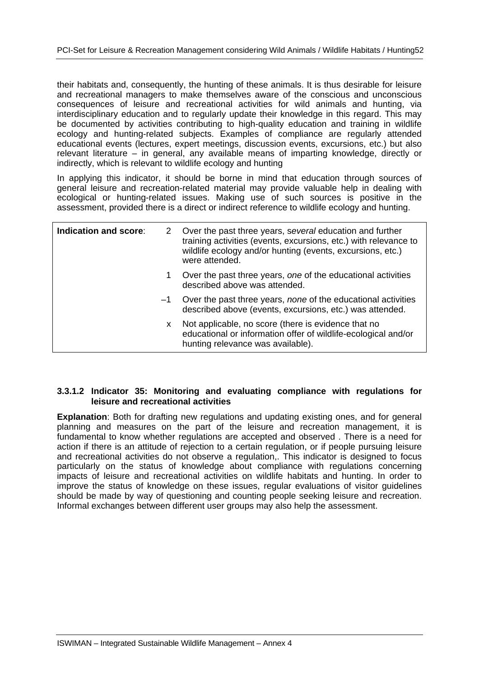their habitats and, consequently, the hunting of these animals. It is thus desirable for leisure and recreational managers to make themselves aware of the conscious and unconscious consequences of leisure and recreational activities for wild animals and hunting, via interdisciplinary education and to regularly update their knowledge in this regard. This may be documented by activities contributing to high-quality education and training in wildlife ecology and hunting-related subjects. Examples of compliance are regularly attended educational events (lectures, expert meetings, discussion events, excursions, etc.) but also relevant literature – in general, any available means of imparting knowledge, directly or indirectly, which is relevant to wildlife ecology and hunting

In applying this indicator, it should be borne in mind that education through sources of general leisure and recreation-related material may provide valuable help in dealing with ecological or hunting-related issues. Making use of such sources is positive in the assessment, provided there is a direct or indirect reference to wildlife ecology and hunting.

| Indication and score: |    | 2 Over the past three years, several education and further<br>training activities (events, excursions, etc.) with relevance to<br>wildlife ecology and/or hunting (events, excursions, etc.)<br>were attended. |
|-----------------------|----|----------------------------------------------------------------------------------------------------------------------------------------------------------------------------------------------------------------|
|                       |    | Over the past three years, one of the educational activities<br>described above was attended.                                                                                                                  |
|                       |    | $-1$ Over the past three years, none of the educational activities<br>described above (events, excursions, etc.) was attended.                                                                                 |
|                       | X. | Not applicable, no score (there is evidence that no<br>educational or information offer of wildlife-ecological and/or<br>hunting relevance was available).                                                     |

#### **3.3.1.2 Indicator 35: Monitoring and evaluating compliance with regulations for leisure and recreational activities**

**Explanation**: Both for drafting new regulations and updating existing ones, and for general planning and measures on the part of the leisure and recreation management, it is fundamental to know whether regulations are accepted and observed . There is a need for action if there is an attitude of rejection to a certain regulation, or if people pursuing leisure and recreational activities do not observe a regulation,. This indicator is designed to focus particularly on the status of knowledge about compliance with regulations concerning impacts of leisure and recreational activities on wildlife habitats and hunting. In order to improve the status of knowledge on these issues, regular evaluations of visitor guidelines should be made by way of questioning and counting people seeking leisure and recreation. Informal exchanges between different user groups may also help the assessment.